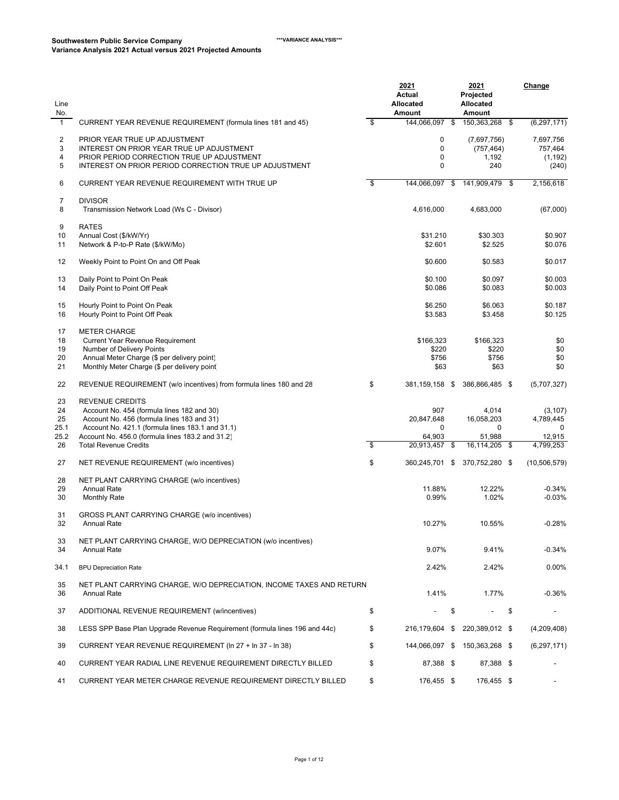| Line<br>No.      |                                                                                                                                                                                    |    | <u> 2021</u><br>Actual<br>Allocated<br><b>Amount</b> |     | <u> 2021</u><br>Projected<br>Allocated<br><b>Amount</b> |     | Change                                    |
|------------------|------------------------------------------------------------------------------------------------------------------------------------------------------------------------------------|----|------------------------------------------------------|-----|---------------------------------------------------------|-----|-------------------------------------------|
| $\mathbf{1}$     | CURRENT YEAR REVENUE REQUIREMENT (formula lines 181 and 45)                                                                                                                        | \$ | 144,066,097 \$                                       |     | 150,363,268 \$                                          |     | (6, 297, 171)                             |
| 2<br>3<br>4<br>5 | PRIOR YEAR TRUE UP ADJUSTMENT<br>INTEREST ON PRIOR YEAR TRUE UP ADJUSTMENT<br>PRIOR PERIOD CORRECTION TRUE UP ADJUSTMENT<br>INTEREST ON PRIOR PERIOD CORRECTION TRUE UP ADJUSTMENT |    | 0<br>$\mathbf 0$<br>0<br>0                           |     | (7,697,756)<br>(757, 464)<br>1,192<br>240               |     | 7,697,756<br>757,464<br>(1, 192)<br>(240) |
| 6                | CURRENT YEAR REVENUE REQUIREMENT WITH TRUE UP                                                                                                                                      | S, | 144,066,097 \$                                       |     | 141.909.479 \$                                          |     | 2,156,618                                 |
| 7<br>8           | <b>DIVISOR</b><br>Transmission Network Load (Ws C - Divisor)                                                                                                                       |    | 4,616,000                                            |     | 4,683,000                                               |     | (67,000)                                  |
| 9                | <b>RATES</b>                                                                                                                                                                       |    |                                                      |     |                                                         |     |                                           |
| 10               | Annual Cost (\$/kW/Yr)                                                                                                                                                             |    | \$31.210                                             |     | \$30.303                                                |     | \$0.907                                   |
| 11               | Network & P-to-P Rate (\$/kW/Mo)                                                                                                                                                   |    | \$2.601                                              |     | \$2.525                                                 |     | \$0.076                                   |
| 12               | Weekly Point to Point On and Off Peak                                                                                                                                              |    | \$0.600                                              |     | \$0.583                                                 |     | \$0.017                                   |
| 13               | Daily Point to Point On Peak                                                                                                                                                       |    | \$0.100                                              |     | \$0.097                                                 |     | \$0.003                                   |
| 14               | Daily Point to Point Off Peak                                                                                                                                                      |    | \$0.086                                              |     | \$0.083                                                 |     | \$0.003                                   |
| 15               | Hourly Point to Point On Peak                                                                                                                                                      |    | \$6.250                                              |     | \$6.063                                                 |     | \$0.187                                   |
| 16               | Hourly Point to Point Off Peak                                                                                                                                                     |    | \$3.583                                              |     | \$3.458                                                 |     | \$0.125                                   |
| 17               | <b>METER CHARGE</b>                                                                                                                                                                |    |                                                      |     |                                                         |     |                                           |
| 18<br>19         | <b>Current Year Revenue Requirement</b><br>Number of Delivery Points                                                                                                               |    | \$166,323<br>\$220                                   |     | \$166,323<br>\$220                                      |     | \$0<br>\$0                                |
| 20               | Annual Meter Charge (\$ per delivery point)                                                                                                                                        |    | \$756                                                |     | \$756                                                   |     | \$0                                       |
| 21               | Monthly Meter Charge (\$ per delivery point)                                                                                                                                       |    | \$63                                                 |     | \$63                                                    |     | \$0                                       |
| 22               | REVENUE REQUIREMENT (w/o incentives) from formula lines 180 and 28                                                                                                                 | \$ | 381,159,158                                          | -\$ | 386,866,485 \$                                          |     | (5,707,327)                               |
| 23               | <b>REVENUE CREDITS</b>                                                                                                                                                             |    |                                                      |     |                                                         |     |                                           |
| 24               | Account No. 454 (formula lines 182 and 30)                                                                                                                                         |    | 907                                                  |     | 4,014                                                   |     | (3, 107)                                  |
| 25<br>25.1       | Account No. 456 (formula lines 183 and 31)<br>Account No. 421.1 (formula lines 183.1 and 31.1)                                                                                     |    | 20,847,648<br>0                                      |     | 16,058,203<br>0                                         |     | 4,789,445<br>0                            |
| 25.2             | Account No. 456.0 (formula lines 183.2 and 31.2)                                                                                                                                   |    | 64,903                                               |     | 51,988                                                  |     | 12,915                                    |
| 26               | <b>Total Revenue Credits</b>                                                                                                                                                       | S, | 20,913,457                                           | \$  | 16,114,205                                              | -\$ | 4,799,253                                 |
| 27               | NET REVENUE REQUIREMENT (w/o incentives)                                                                                                                                           | \$ | 360,245,701 \$                                       |     | 370,752,280 \$                                          |     | (10, 506, 579)                            |
| 28               | NET PLANT CARRYING CHARGE (w/o incentives)                                                                                                                                         |    |                                                      |     |                                                         |     |                                           |
| 29               | <b>Annual Rate</b>                                                                                                                                                                 |    | 11.88%                                               |     | 12.22%                                                  |     | $-0.34%$                                  |
| 30               | <b>Monthly Rate</b>                                                                                                                                                                |    | 0.99%                                                |     | 1.02%                                                   |     | $-0.03%$                                  |
| 31               | GROSS PLANT CARRYING CHARGE (w/o incentives)                                                                                                                                       |    |                                                      |     |                                                         |     |                                           |
| 32               | <b>Annual Rate</b>                                                                                                                                                                 |    | 10.27%                                               |     | 10.55%                                                  |     | $-0.28%$                                  |
| 33<br>34         | NET PLANT CARRYING CHARGE, W/O DEPRECIATION (w/o incentives)<br><b>Annual Rate</b>                                                                                                 |    | 9.07%                                                |     | 9.41%                                                   |     | $-0.34%$                                  |
| 34.1             | <b>BPU Depreciation Rate</b>                                                                                                                                                       |    | 2.42%                                                |     | 2.42%                                                   |     | 0.00%                                     |
| 35<br>36         | NET PLANT CARRYING CHARGE, W/O DEPRECIATION, INCOME TAXES AND RETURN<br><b>Annual Rate</b>                                                                                         |    | 1.41%                                                |     | 1.77%                                                   |     | $-0.36%$                                  |
| 37               | ADDITIONAL REVENUE REQUIREMENT (w/incentives)                                                                                                                                      | \$ |                                                      | \$  |                                                         | \$  |                                           |
| 38               | LESS SPP Base Plan Upgrade Revenue Reguirement (formula lines 196 and 44c)                                                                                                         | \$ | 216,179,604 \$                                       |     | 220,389,012 \$                                          |     | (4,209,408)                               |
| 39               | CURRENT YEAR REVENUE REQUIREMENT (In 27 + In 37 - In 38)                                                                                                                           | \$ |                                                      |     | 144,066,097 \$ 150,363,268 \$                           |     | (6, 297, 171)                             |
| 40               | CURRENT YEAR RADIAL LINE REVENUE REQUIREMENT DIRECTLY BILLED                                                                                                                       | \$ | 87,388 \$                                            |     | 87,388 \$                                               |     |                                           |
| 41               | CURRENT YEAR METER CHARGE REVENUE REQUIREMENT DIRECTLY BILLED                                                                                                                      | \$ | 176,455 \$                                           |     | 176,455 \$                                              |     | -                                         |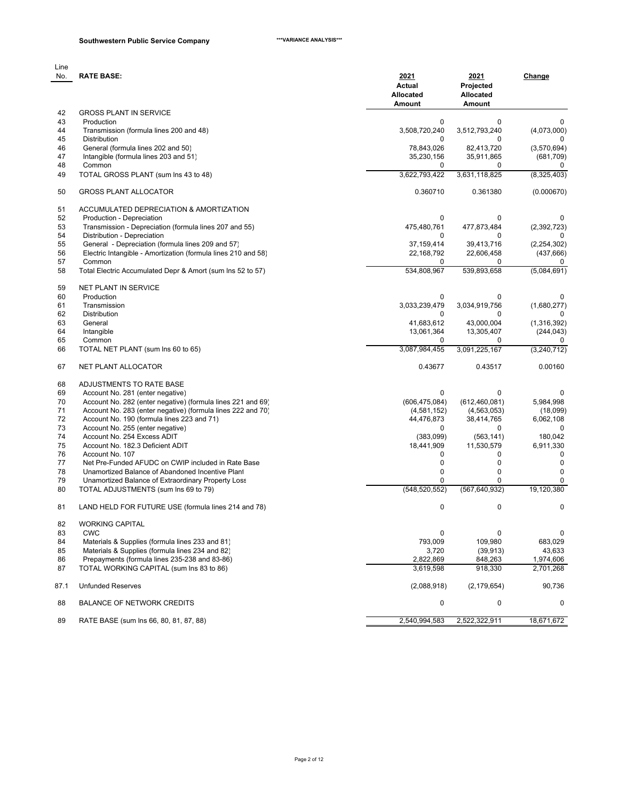| l ine |                  |
|-------|------------------|
| No∴   | <b>RATE BASE</b> |
|       |                  |

| No.      | <b>RATE BASE:</b>                                              | 2021<br>Actual<br>Allocated<br><b>Amount</b> | 2021<br>Projected<br>Allocated<br><b>Amount</b> | <b>Change</b>    |
|----------|----------------------------------------------------------------|----------------------------------------------|-------------------------------------------------|------------------|
| 42       | <b>GROSS PLANT IN SERVICE</b>                                  |                                              |                                                 |                  |
| 43       | Production                                                     | 0                                            | 0                                               | 0                |
| 44<br>45 | Transmission (formula lines 200 and 48)<br><b>Distribution</b> | 3,508,720,240<br>0                           | 3,512,793,240<br>0                              | (4,073,000)<br>0 |
| 46       | General (formula lines 202 and 50)                             | 78,843,026                                   | 82,413,720                                      | (3,570,694)      |
| 47       | Intangible (formula lines 203 and 51)                          | 35,230,156                                   | 35,911,865                                      | (681,709)        |
| 48       | Common                                                         | 0                                            | 0                                               | 0                |
| 49       | TOTAL GROSS PLANT (sum Ins 43 to 48)                           | 3,622,793,422                                | 3,631,118,825                                   | (8,325,403)      |
| 50       | <b>GROSS PLANT ALLOCATOR</b>                                   | 0.360710                                     | 0.361380                                        | (0.000670)       |
| 51       | ACCUMULATED DEPRECIATION & AMORTIZATION                        |                                              |                                                 |                  |
| 52       | Production - Depreciation                                      | 0                                            | 0                                               | 0                |
| 53       | Transmission - Depreciation (formula lines 207 and 55)         | 475,480,761                                  | 477,873,484                                     | (2,392,723)      |
| 54       | Distribution - Depreciation                                    | 0                                            | 0                                               | 0                |
| 55       | General - Depreciation (formula lines 209 and 57)              | 37,159,414                                   | 39,413,716                                      | (2, 254, 302)    |
| 56       | Electric Intangible - Amortization (formula lines 210 and 58)  | 22, 168, 792                                 | 22,606,458                                      | (437, 666)       |
| 57       | Common                                                         | 0                                            | 0                                               | 0                |
| 58       | Total Electric Accumulated Depr & Amort (sum Ins 52 to 57)     | 534,808,967                                  | 539,893,658                                     | (5,084,691)      |
| 59       | NET PLANT IN SERVICE                                           |                                              |                                                 |                  |
| 60       | Production                                                     | $\mathbf 0$                                  | 0                                               | 0                |
| 61       | Transmission                                                   | 3,033,239,479                                | 3,034,919,756                                   | (1,680,277)      |
| 62       | <b>Distribution</b>                                            | 0                                            | 0                                               | 0                |
| 63       | General                                                        | 41,683,612                                   | 43,000,004                                      | (1,316,392)      |
| 64       | Intangible                                                     | 13,061,364                                   | 13,305,407                                      | (244, 043)       |
| 65       | Common                                                         | 0                                            | $\Omega$                                        | 0                |
| 66       | TOTAL NET PLANT (sum Ins 60 to 65)                             | 3,087,984,455                                | 3,091,225,167                                   | (3,240,712)      |
| 67       | NET PLANT ALLOCATOR                                            | 0.43677                                      | 0.43517                                         | 0.00160          |
| 68       | ADJUSTMENTS TO RATE BASE                                       |                                              |                                                 |                  |
| 69       | Account No. 281 (enter negative)                               | 0                                            | 0                                               | 0                |
| 70       | Account No. 282 (enter negative) (formula lines 221 and 69)    | (606, 475, 084)                              | (612, 460, 081)                                 | 5,984,998        |
| 71       | Account No. 283 (enter negative) (formula lines 222 and 70)    | (4,581,152)                                  | (4, 563, 053)                                   | (18,099)         |
| 72       | Account No. 190 (formula lines 223 and 71)                     | 44,476,873                                   | 38,414,765                                      | 6,062,108        |
| 73       | Account No. 255 (enter negative)                               | $\Omega$                                     | 0                                               | 0                |
| 74       | Account No. 254 Excess ADIT                                    | (383,099)                                    | (563, 141)                                      | 180,042          |
| 75       | Account No. 182.3 Deficient ADIT                               | 18,441,909                                   | 11,530,579                                      | 6,911,330        |
| 76       | Account No. 107                                                | 0                                            | 0                                               | 0                |
| 77       | Net Pre-Funded AFUDC on CWIP included in Rate Base             | 0                                            | 0                                               | $\mathbf 0$      |
| 78       | Unamortized Balance of Abandoned Incentive Plant               | 0                                            | 0                                               | 0                |
| 79       | Unamortized Balance of Extraordinary Property Loss             | $\Omega$                                     | $\Omega$                                        | 0                |
| 80       | TOTAL ADJUSTMENTS (sum Ins 69 to 79)                           | (548, 520, 552)                              | (567, 640, 932)                                 | 19,120,380       |
| 81       | LAND HELD FOR FUTURE USE (formula lines 214 and 78)            | 0                                            | 0                                               | 0                |
| 82       | <b>WORKING CAPITAL</b>                                         |                                              |                                                 |                  |
| 83       | <b>CWC</b>                                                     | 0                                            | 0                                               | 0                |
| 84       | Materials & Supplies (formula lines 233 and 81)                | 793,009                                      | 109,980                                         | 683,029          |
| 85       | Materials & Supplies (formula lines 234 and 82)                | 3,720                                        | (39, 913)                                       | 43,633           |
| 86       | Prepayments (formula lines 235-238 and 83-86)                  | 2,822,869                                    | 848,263                                         | 1,974,606        |
| 87       | TOTAL WORKING CAPITAL (sum Ins 83 to 86)                       | 3,619,598                                    | 918,330                                         | 2,701,268        |
| 87.1     | <b>Unfunded Reserves</b>                                       | (2,088,918)                                  | (2, 179, 654)                                   | 90,736           |
| 88       | <b>BALANCE OF NETWORK CREDITS</b>                              | 0                                            | 0                                               | 0                |
| 89       | RATE BASE (sum lns 66, 80, 81, 87, 88)                         | 2,540,994,583                                | 2,522,322,911                                   | 18,671,672       |
|          |                                                                |                                              |                                                 |                  |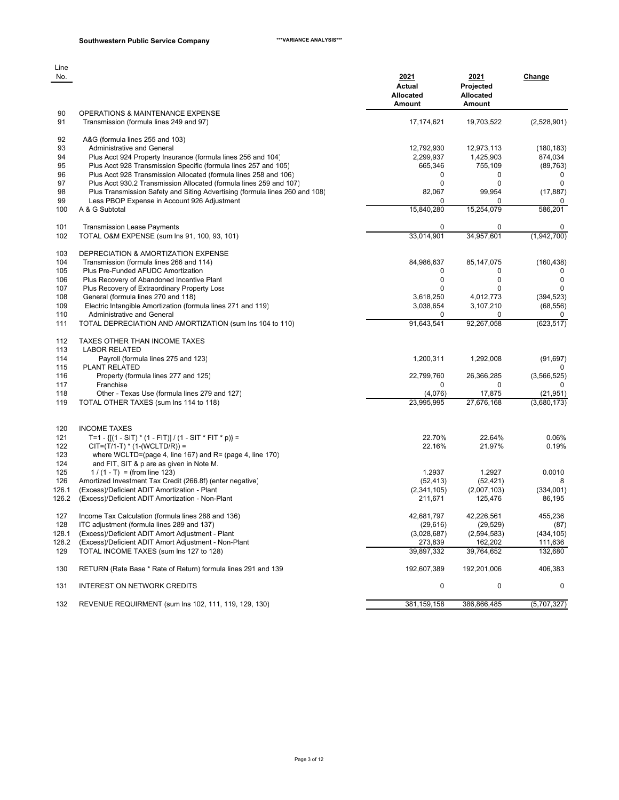| Line<br>No. |                                                                                                                            | 2021<br>Actual<br>Allocated | 2021<br>Projected<br><b>Allocated</b> | Change          |
|-------------|----------------------------------------------------------------------------------------------------------------------------|-----------------------------|---------------------------------------|-----------------|
|             |                                                                                                                            | <b>Amount</b>               | Amount                                |                 |
| 90<br>91    | OPERATIONS & MAINTENANCE EXPENSE<br>Transmission (formula lines 249 and 97)                                                | 17,174,621                  | 19,703,522                            | (2,528,901)     |
| 92          | A&G (formula lines 255 and 103)                                                                                            |                             |                                       |                 |
| 93          | Administrative and General                                                                                                 | 12,792,930                  | 12,973,113                            | (180, 183)      |
| 94          | Plus Acct 924 Property Insurance (formula lines 256 and 104)                                                               | 2,299,937                   | 1,425,903                             | 874,034         |
| 95          | Plus Acct 928 Transmission Specific (formula lines 257 and 105)                                                            | 665,346                     | 755,109                               | (89, 763)       |
| 96          | Plus Acct 928 Transmission Allocated (formula lines 258 and 106)                                                           | 0                           | 0                                     | $\mathbf 0$     |
| 97          | Plus Acct 930.2 Transmission Allocated (formula lines 259 and 107)                                                         | 0                           | 0                                     | 0               |
| 98<br>99    | Plus Transmission Safety and Siting Advertising (formula lines 260 and 108)<br>Less PBOP Expense in Account 926 Adjustment | 82,067<br>0                 | 99,954                                | (17, 887)       |
| 100         | A & G Subtotal                                                                                                             | 15,840,280                  | 15,254,079                            | 0<br>586,201    |
|             |                                                                                                                            |                             |                                       |                 |
| 101         | <b>Transmission Lease Payments</b>                                                                                         | 0                           | 0                                     | 0               |
| 102         | TOTAL O&M EXPENSE (sum Ins 91, 100, 93, 101)                                                                               | 33,014,901                  | 34,957,601                            | (1,942,700)     |
| 103         | DEPRECIATION & AMORTIZATION EXPENSE                                                                                        |                             |                                       |                 |
| 104         | Transmission (formula lines 266 and 114)                                                                                   | 84,986,637                  | 85, 147, 075                          | (160, 438)      |
| 105         | Plus Pre-Funded AFUDC Amortization                                                                                         | 0                           | 0                                     | $\Omega$        |
| 106         | Plus Recovery of Abandoned Incentive Plant                                                                                 | $\mathbf 0$                 | 0                                     | $\mathbf 0$     |
| 107         | Plus Recovery of Extraordinary Property Loss                                                                               | $\mathbf 0$                 | 0                                     | $\mathbf{0}$    |
| 108         | General (formula lines 270 and 118)                                                                                        | 3,618,250                   | 4,012,773                             | (394, 523)      |
| 109         | Electric Intangible Amortization (formula lines 271 and 119)                                                               | 3,038,654                   | 3,107,210                             | (68, 556)       |
| 110         | Administrative and General                                                                                                 | $\Omega$                    | 0                                     | 0               |
| 111         | TOTAL DEPRECIATION AND AMORTIZATION (sum Ins 104 to 110)                                                                   | 91,643,541                  | 92,267,058                            | (623, 517)      |
| 112         | TAXES OTHER THAN INCOME TAXES                                                                                              |                             |                                       |                 |
| 113         | <b>LABOR RELATED</b>                                                                                                       |                             |                                       |                 |
| 114         | Payroll (formula lines 275 and 123)                                                                                        | 1,200,311                   | 1,292,008                             | (91, 697)       |
| 115         | PLANT RELATED                                                                                                              |                             |                                       | 0               |
| 116         | Property (formula lines 277 and 125)                                                                                       | 22,799,760                  | 26,366,285                            | (3, 566, 525)   |
| 117         | Franchise                                                                                                                  | 0                           | 0                                     | 0               |
| 118         | Other - Texas Use (formula lines 279 and 127)                                                                              | (4,076)                     | 17,875                                | (21, 951)       |
| 119         | TOTAL OTHER TAXES (sum Ins 114 to 118)                                                                                     | 23,995,995                  | 27,676,168                            | (3,680,173)     |
|             |                                                                                                                            |                             |                                       |                 |
| 120         | <b>INCOME TAXES</b>                                                                                                        |                             |                                       |                 |
| 121<br>122  | T=1 - { $[(1 - SIT) * (1 - FIT)] / (1 - SIT * FIT * p)$ } =<br>$CIT=(T/1-T)*(1-(WCLTD/R)) =$                               | 22.70%<br>22.16%            | 22.64%<br>21.97%                      | 0.06%<br>0.19%  |
| 123         | where WCLTD=(page 4, line 167) and $R =$ (page 4, line 170)                                                                |                             |                                       |                 |
| 124         | and FIT, SIT & p are as given in Note M.                                                                                   |                             |                                       |                 |
| 125         | $1/(1 - T) = (from line 123)$                                                                                              | 1.2937                      | 1.2927                                | 0.0010          |
| 126         | Amortized Investment Tax Credit (266.8f) (enter negative)                                                                  | (52, 413)                   | (52, 421)                             | 8               |
| 126.1       | (Excess)/Deficient ADIT Amortization - Plant                                                                               | (2,341,105)                 | (2,007,103)                           | (334,001)       |
| 126.2       | (Excess)/Deficient ADIT Amortization - Non-Plant                                                                           | 211,671                     | 125,476                               | 86,195          |
|             |                                                                                                                            |                             |                                       |                 |
| 127<br>128  | Income Tax Calculation (formula lines 288 and 136)<br>ITC adjustment (formula lines 289 and 137)                           | 42,681,797<br>(29, 616)     | 42,226,561<br>(29, 529)               | 455,236<br>(87) |
| 128.1       | (Excess)/Deficient ADIT Amort Adjustment - Plant                                                                           | (3,028,687)                 | (2,594,583)                           | (434, 105)      |
| 128.2       | (Excess)/Deficient ADIT Amort Adjustment - Non-Plant                                                                       | 273,839                     | 162,202                               | 111,636         |
| 129         | TOTAL INCOME TAXES (sum Ins 127 to 128)                                                                                    | 39,897,332                  | 39,764,652                            | 132,680         |
| 130         | RETURN (Rate Base * Rate of Return) formula lines 291 and 139                                                              | 192,607,389                 | 192,201,006                           | 406,383         |
|             |                                                                                                                            |                             |                                       |                 |
| 131         | <b>INTEREST ON NETWORK CREDITS</b>                                                                                         | 0                           | 0                                     | 0               |
| 132         | REVENUE REQUIRMENT (sum Ins 102, 111, 119, 129, 130)                                                                       | 381, 159, 158               | 386,866,485                           | (5,707,327)     |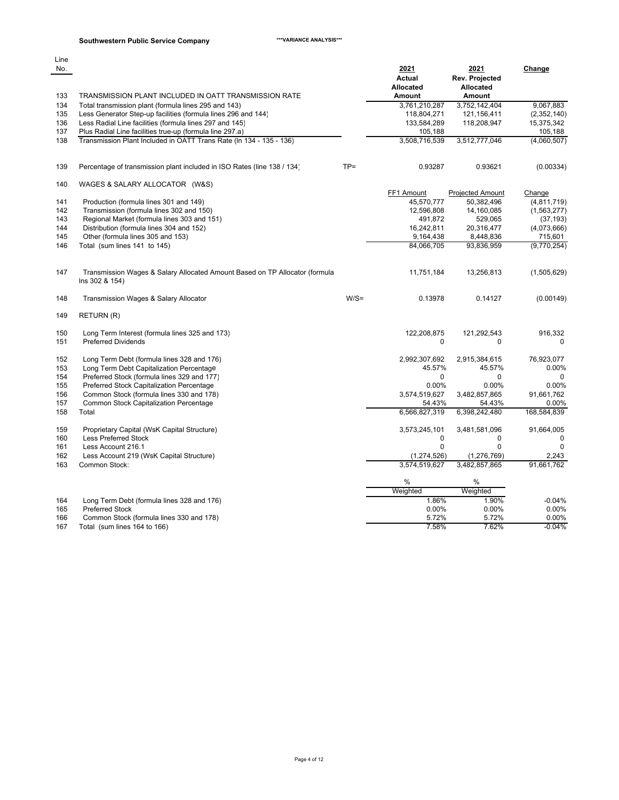## **Southwestern Public Service Company \*\*\*VARIANCE ANALYSIS\*\*\***

| Line<br>No. |                                                                                                                       |         | 2021<br>Actual               | 2021<br>Rev. Projected       | Change                   |
|-------------|-----------------------------------------------------------------------------------------------------------------------|---------|------------------------------|------------------------------|--------------------------|
| 133         | TRANSMISSION PLANT INCLUDED IN OATT TRANSMISSION RATE                                                                 |         | Allocated<br><b>Amount</b>   | Allocated<br><b>Amount</b>   |                          |
| 134         |                                                                                                                       |         |                              |                              |                          |
| 135         | Total transmission plant (formula lines 295 and 143)<br>Less Generator Step-up facilities (formula lines 296 and 144) |         | 3,761,210,287<br>118,804,271 | 3,752,142,404<br>121,156,411 | 9,067,883<br>(2,352,140) |
| 136         | Less Radial Line facilities (formula lines 297 and 145)                                                               |         | 133,584,289                  | 118,208,947                  | 15,375,342               |
| 137         | Plus Radial Line facilities true-up (formula line 297.a)                                                              |         | 105,188                      |                              | 105,188                  |
| 138         | Transmission Plant Included in OATT Trans Rate (In 134 - 135 - 136)                                                   |         | 3,508,716,539                | 3,512,777,046                | (4,060,507)              |
|             |                                                                                                                       |         |                              |                              |                          |
| 139         | Percentage of transmission plant included in ISO Rates (line 138 / 134)                                               | $TP =$  | 0.93287                      | 0.93621                      | (0.00334)                |
| 140         | WAGES & SALARY ALLOCATOR (W&S)                                                                                        |         |                              |                              |                          |
|             |                                                                                                                       |         | FF1 Amount                   | <b>Projected Amount</b>      | Change                   |
| 141         | Production (formula lines 301 and 149)                                                                                |         | 45,570,777                   | 50,382,496                   | (4,811,719)              |
| 142         | Transmission (formula lines 302 and 150)                                                                              |         | 12,596,808                   | 14,160,085                   | (1,563,277)              |
| 143         | Regional Market (formula lines 303 and 151)                                                                           |         | 491,872                      | 529,065                      | (37, 193)                |
| 144         | Distribution (formula lines 304 and 152)                                                                              |         | 16,242,811                   | 20,316,477                   | (4,073,666)              |
| 145         | Other (formula lines 305 and 153)                                                                                     |         | 9,164,438                    | 8,448,836                    | 715,601                  |
| 146         | Total (sum lines 141 to 145)                                                                                          |         | 84,066,705                   | 93,836,959                   | (9,770,254)              |
| 147         | Transmission Wages & Salary Allocated Amount Based on TP Allocator (formula<br>Ins 302 & 154)                         |         | 11,751,184                   | 13,256,813                   | (1,505,629)              |
| 148         | Transmission Wages & Salary Allocator                                                                                 | $W/S =$ | 0.13978                      | 0.14127                      | (0.00149)                |
| 149         | RETURN (R)                                                                                                            |         |                              |                              |                          |
| 150         | Long Term Interest (formula lines 325 and 173)                                                                        |         | 122,208,875                  | 121,292,543                  | 916,332                  |
| 151         | <b>Preferred Dividends</b>                                                                                            |         | 0                            | 0                            | $\Omega$                 |
| 152         | Long Term Debt (formula lines 328 and 176)                                                                            |         | 2,992,307,692                | 2,915,384,615                | 76,923,077               |
| 153         | Long Term Debt Capitalization Percentage                                                                              |         | 45.57%                       | 45.57%                       | 0.00%                    |
| 154         | Preferred Stock (formula lines 329 and 177)                                                                           |         | 0                            | $\Omega$                     | $\Omega$                 |
| 155         | Preferred Stock Capitalization Percentage                                                                             |         | 0.00%                        | 0.00%                        | 0.00%                    |
| 156         | Common Stock (formula lines 330 and 178)                                                                              |         | 3,574,519,627                | 3,482,857,865                | 91,661,762               |
| 157         | Common Stock Capitalization Percentage                                                                                |         | 54.43%                       | 54.43%                       | 0.00%                    |
| 158         | Total                                                                                                                 |         | 6,566,827,319                | 6,398,242,480                | 168,584,839              |
| 159         | Proprietary Capital (WsK Capital Structure)                                                                           |         | 3,573,245,101                | 3,481,581,096                | 91,664,005               |
| 160         | Less Preferred Stock                                                                                                  |         | $\mathbf 0$                  | $\mathbf 0$                  | $\mathbf 0$              |
| 161         | Less Account 216.1                                                                                                    |         | $\Omega$                     | $\Omega$                     | $\Omega$                 |
| 162         | Less Account 219 (WsK Capital Structure)                                                                              |         | (1, 274, 526)                | (1, 276, 769)                | 2,243                    |
| 163         | Common Stock:                                                                                                         |         | 3,574,519,627                | 3,482,857,865                | 91,661,762               |
|             |                                                                                                                       |         | %                            | %                            |                          |
|             |                                                                                                                       |         | Weighted                     | Weighted                     |                          |
| 164         | Long Term Debt (formula lines 328 and 176)                                                                            |         | 1.86%                        | 1.90%                        | $-0.04%$                 |
| 165         | <b>Preferred Stock</b>                                                                                                |         | 0.00%                        | 0.00%                        | 0.00%                    |
| 166         | Common Stock (formula lines 330 and 178)                                                                              |         | 5.72%                        | 5.72%                        | 0.00%                    |
| 167         | Total (sum lines 164 to 166)                                                                                          |         | 7.58%                        | 7.62%                        | $-0.04%$                 |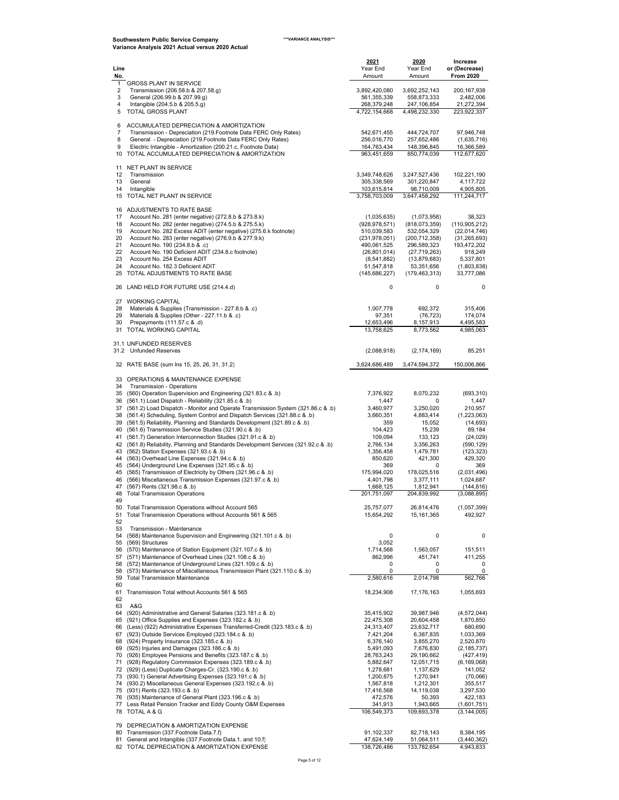| Line<br>No.         |                                                                                                                                                                            | 2021<br>Year End<br>Amount     | 2020<br>Year End<br>Amount    | Increase<br>or (Decrease)<br><b>From 2020</b> |
|---------------------|----------------------------------------------------------------------------------------------------------------------------------------------------------------------------|--------------------------------|-------------------------------|-----------------------------------------------|
| 1<br>2              | <b>GROSS PLANT IN SERVICE</b><br>Transmission (206.58.b & 207.58.g)                                                                                                        | 3,892,420,080                  | 3,692,252,143                 | 200, 167, 938                                 |
| 3<br>4              | General (206.99.b & 207.99.g)<br>Intangible (204.5.b & 205.5.g)                                                                                                            | 561,355,339<br>268,379,248     | 558,873,333<br>247,106,854    | 2,482,006<br>21,272,394                       |
| 5                   | TOTAL GROSS PLANT                                                                                                                                                          | 4,722,154,668                  | 4,498,232,330                 | 223,922,337                                   |
| 6<br>$\overline{7}$ | ACCUMULATED DEPRECIATION & AMORTIZATION<br>Transmission - Depreciation (219. Footnote Data FERC Only Rates)                                                                | 542,671,455                    | 444,724,707                   | 97,946,748                                    |
| 8                   | General - Depreciation (219. Footnote Data FERC Only Rates)                                                                                                                | 256,016,770                    | 257,652,486                   | (1,635,716)                                   |
| 9                   | Electric Intangible - Amortization (200.21.c, Footnote Data)<br>10 TOTAL ACCUMULATED DEPRECIATION & AMORTIZATION                                                           | 164,763,434<br>963,451,659     | 148,396,845<br>850,774,039    | 16,366,589<br>112,677,620                     |
| 11                  | NET PLANT IN SERVICE                                                                                                                                                       |                                |                               |                                               |
| 12<br>13            | Transmission<br>General                                                                                                                                                    | 3,349,748,626<br>305,338,569   | 3,247,527,436<br>301,220,847  | 102,221,190<br>4,117,722                      |
| 14                  | Intangible<br>15 TOTAL NET PLANT IN SERVICE                                                                                                                                | 103,615,814<br>3,758,703,009   | 98,710,009<br>3,647,458,292   | 4,905,805<br>111,244,717                      |
| 17                  | 16 ADJUSTMENTS TO RATE BASE<br>Account No. 281 (enter negative) (272.8.b & 273.8.k)                                                                                        | (1,035,635)                    | (1,073,958)                   | 38,323                                        |
| 18<br>19            | Account No. 282 (enter negative) (274.5.b & 275.5.k)<br>Account No. 282 Excess ADIT (enter negative) (275.6.k footnote)                                                    | (928, 978, 571)<br>510,039,583 | (818,073,359)<br>532,054,329  | (110, 905, 212)<br>(22,014,746)               |
| 20                  | Account No. 283 (enter negative) (276.9.b & 277.9.k)                                                                                                                       | (231, 978, 051)                | (200, 712, 358)               | (31, 265, 693)                                |
| 21<br>22            | Account No. 190 (234.8.b & .c)<br>Account No. 190 Deficient ADIT (234.8.c footnote)                                                                                        | 490,061,525<br>(26, 801, 014)  | 296,589,323<br>(27, 719, 263) | 193,472,202<br>918,249                        |
| 23<br>24            | Account No. 254 Excess ADIT<br>Account No. 182.3 Deficient ADIT                                                                                                            | (8,541,882)<br>51,547,818      | (13,879,683)<br>53,351,656    | 5,337,801<br>(1,803,838)                      |
| 25                  | TOTAL ADJUSTMENTS TO RATE BASE                                                                                                                                             | (145, 686, 227)                | (179, 463, 313)               | 33,777,086                                    |
|                     | 26 LAND HELD FOR FUTURE USE (214.4.d)                                                                                                                                      | 0                              | 0                             | 0                                             |
| 28                  | 27 WORKING CAPITAL<br>Materials & Supplies (Transmission - 227.8.b & .c)                                                                                                   | 1,007,778                      | 692,372                       | 315,406                                       |
| 29<br>30            | Materials & Supplies (Other - 227.11.b & .c)<br>Prepayments (111.57.c & .d)                                                                                                | 97,351<br>12,653,496           | (76, 723)<br>8,157,913        | 174,074<br>4,495,583                          |
|                     | 31 TOTAL WORKING CAPITAL                                                                                                                                                   | 13,758,625                     | 8,773,562                     | 4,985,063                                     |
|                     | 31.1 UNFUNDED RESERVES<br>31.2 Unfunded Reserves                                                                                                                           | (2,088,918)                    | (2, 174, 169)                 | 85,251                                        |
|                     | 32 RATE BASE (sum Ins 15, 25, 26, 31, 31.2)                                                                                                                                | 3,624,686,489                  | 3,474,594,372                 | 150,006,866                                   |
| 33                  | OPERATIONS & MAINTENANCE EXPENSE                                                                                                                                           |                                |                               |                                               |
| 34                  | Transmission - Operations<br>35 (560) Operation Supervision and Engineering (321.83.c & .b)                                                                                | 7,376,922                      | 8,070,232                     | (693, 310)                                    |
|                     | 36 (561.1) Load Dispatch - Reliability (321.85.c & .b)                                                                                                                     | 1,447                          | 0                             | 1,447                                         |
| 37<br>38            | (561.2) Load Dispatch - Monitor and Operate Transmission System (321.86.c & .b)<br>(561.4) Scheduling, System Control and Dispatch Services (321.88.c & .b)                | 3,460,977<br>3,660,351         | 3,250,020<br>4,883,414        | 210,957<br>(1,223,063)                        |
| 39<br>40            | (561.5) Reliability, Planning and Standards Development (321.89.c & .b)                                                                                                    | 359                            | 15,052                        | (14, 693)                                     |
|                     | (561.6) Transmission Service Studies (321.90.c & .b)<br>41 (561.7) Generation Interconnection Studies (321.91.c & .b)                                                      | 104,423<br>109,094             | 15,239<br>133,123             | 89,184<br>(24, 029)                           |
|                     | 42 (561.8) Reliability, Planning and Standards Development Services (321.92.c & .b)<br>43 (562) Station Expenses (321.93.c & .b)                                           | 2,766,134<br>1,356,458         | 3,356,263<br>1,479,781        | (590, 129)<br>(123, 323)                      |
|                     | 44 (563) Overhead Line Expenses (321.94.c & .b)                                                                                                                            | 850,620                        | 421,300                       | 429,320                                       |
| 45                  | (564) Underground Line Expenses (321.95.c & .b)<br>45 (565) Transmission of Electricity by Others (321.96.c & .b)                                                          | 369<br>175,994,020             | 0<br>178,025,516              | 369<br>(2,031,496)                            |
|                     | 46 (566) Miscellaneous Transmission Expenses (321.97.c & .b)                                                                                                               | 4,401,798                      | 3,377,111                     | 1,024,687                                     |
| 47<br>48            | (567) Rents (321.98.c & .b)<br><b>Total Transmission Operations</b>                                                                                                        | 1,668,125<br>201,751,097       | 1,812,941<br>204,839,992      | (144, 816)<br>(3,088,895)                     |
| 49<br>50            | Total Transmission Operations without Account 565                                                                                                                          | 25,757,077                     | 26,814,476                    | (1,057,399)                                   |
| 51<br>52            | Total Transmission Operations without Accounts 561 & 565                                                                                                                   | 15,654,292                     | 15, 161, 365                  | 492,927                                       |
| 53<br>54            | Transmission - Maintenance<br>(568) Maintenance Supervision and Engineering (321.101.c & .b)                                                                               | 0                              | 0                             | 0                                             |
| 55<br>56            | (569) Structures<br>(570) Maintenance of Station Equipment (321.107.c & .b)                                                                                                | 3,052<br>1,714,568             | 1,563,057                     | 151,511                                       |
| 57                  | (571) Maintenance of Overhead Lines (321.108.c & .b)                                                                                                                       | 862,996                        | 451,741                       | 411,255                                       |
| 58<br>58<br>59      | (572) Maintenance of Underground Lines (321.109.c & .b)<br>(573) Maintenance of Miscellaneous Transmission Plant (321.110.c & .b)<br><b>Total Transmission Maintenance</b> | 0<br>0<br>2,580,616            | 0<br>0<br>2,014,798           | 0<br>0<br>562,766                             |
| 60<br>61            | Transmission Total without Accounts 561 & 565                                                                                                                              | 18,234,908                     | 17, 176, 163                  | 1,055,693                                     |
| 62<br>63            | A&G                                                                                                                                                                        |                                |                               |                                               |
| 65                  | 64 (920) Administrative and General Salaries (323.181.c & .b)<br>(921) Office Supplies and Expenses (323.182.c & .b)                                                       | 35,415,902<br>22,475,308       | 39,987,946<br>20,604,458      | (4,572,044)<br>1,870,850                      |
| 66                  | (Less) (922) Administrative Expenses Transferred-Credit (323.183.c & .b)                                                                                                   | 24,313,407                     | 23,632,717                    | 680,690                                       |
| 68                  | 67 (923) Outside Services Employed (323.184.c & .b)<br>(924) Property Insurance (323.185.c & .b)                                                                           | 7,421,204<br>6,376,140         | 6,387,835<br>3,855,270        | 1,033,369<br>2,520,870                        |
|                     | 69 (925) Injuries and Damages (323.186.c & .b)                                                                                                                             | 5,491,093                      | 7,676,830                     | (2, 185, 737)                                 |
| 71                  | 70 (926) Employee Pensions and Benefits (323.187.c & .b)<br>(928) Regulatory Commission Expenses (323.189.c & .b)                                                          | 28,763,243<br>5,882,647        | 29,190,662<br>12,051,715      | (427, 419)<br>(6, 169, 068)                   |
|                     | 72 (929) (Less) Duplicate Charges-Cr. (323.190.c & .b)<br>73 (930.1) General Advertising Expenses (323.191.c & .b)                                                         | 1,278,681<br>1,200,875         | 1,137,629<br>1,270,941        | 141,052<br>(70,066)                           |
| 74                  | (930.2) Miscellaneous General Expenses (323.192.c & .b)                                                                                                                    | 1,567,818                      | 1,212,301                     | 355,517                                       |
|                     | 75 (931) Rents (323.193.c & .b)<br>76 (935) Maintenance of General Plant (323.196.c & .b)                                                                                  | 17,416,568<br>472,576          | 14,119,038<br>50,393          | 3,297,530<br>422,183                          |
| 77                  | Less Retail Pension Tracker and Eddy County O&M Expenses                                                                                                                   | 341,913                        | 1,943,665                     | (1,601,751)                                   |
|                     | 78 TOTAL A & G                                                                                                                                                             | 106,549,373                    | 109,693,378                   | (3, 144, 005)                                 |
| 79<br>80            | DEPRECIATION & AMORTIZATION EXPENSE<br>Transmission (337. Footnote Data. 7.f)                                                                                              | 91,102,337                     | 82,718,143                    | 8,384,195                                     |
| 81                  | General and Intangible (337. Footnote Data.1. and 10.f)<br>82 TOTAL DEPRECIATION & AMORTIZATION EXPENSE                                                                    | 47,624,149<br>138,726,486      | 51,064,511<br>133,782,654     | (3,440,362)<br>4,943,833                      |
|                     |                                                                                                                                                                            |                                |                               |                                               |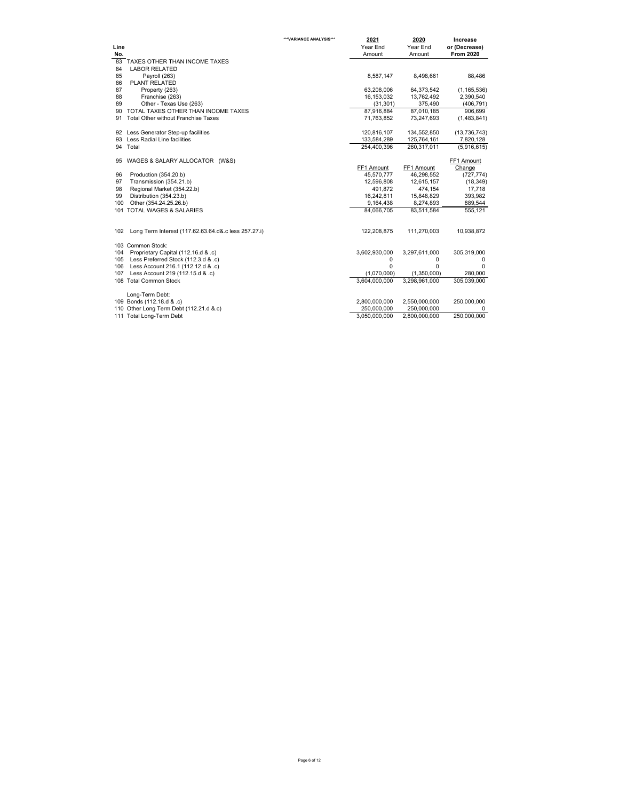| Line |                                                      | ***VARIANCE ANALYSIS*** | 2021<br>Year End | 2020<br>Year End | Increase<br>or (Decrease) |
|------|------------------------------------------------------|-------------------------|------------------|------------------|---------------------------|
| No.  |                                                      |                         | Amount           | Amount           | <b>From 2020</b>          |
| 83   | TAXES OTHER THAN INCOME TAXES                        |                         |                  |                  |                           |
| 84   | <b>LABOR RELATED</b>                                 |                         |                  |                  |                           |
| 85   | Payroll (263)                                        |                         | 8,587,147        | 8.498.661        | 88.486                    |
| 86   | <b>PLANT RELATED</b>                                 |                         |                  |                  |                           |
| 87   | Property (263)                                       |                         | 63,208,006       | 64,373,542       | (1, 165, 536)             |
| 88   | Franchise (263)                                      |                         | 16,153,032       | 13,762,492       | 2,390,540                 |
| 89   | Other - Texas Use (263)                              |                         | (31, 301)        | 375,490          | (406, 791)                |
| 90   | TOTAL TAXES OTHER THAN INCOME TAXES                  |                         | 87,916,884       | 87.010.185       | 906.699                   |
| 91   | <b>Total Other without Franchise Taxes</b>           |                         | 71,763,852       | 73,247,693       | (1,483,841)               |
|      | 92 Less Generator Step-up facilities                 |                         | 120,816,107      | 134,552,850      | (13, 736, 743)            |
| 93   | Less Radial Line facilities                          |                         | 133,584,289      | 125,764,161      | 7,820,128                 |
|      | 94 Total                                             |                         | 254.400.396      | 260,317,011      | (5,916,615)               |
| 95   | WAGES & SALARY ALLOCATOR (W&S)                       |                         |                  |                  | FF1 Amount                |
|      |                                                      |                         | FF1 Amount       | FF1 Amount       | Change                    |
| 96   | Production (354.20.b)                                |                         | 45,570,777       | 46,298,552       | (727, 774)                |
| 97   | Transmission (354.21.b)                              |                         | 12,596,808       | 12,615,157       | (18, 349)                 |
| 98   | Regional Market (354.22.b)                           |                         | 491.872          | 474,154          | 17,718                    |
| 99   | Distribution (354.23.b)                              |                         | 16,242,811       | 15,848,829       | 393,982                   |
| 100  | Other (354.24.25.26.b)                               |                         | 9,164,438        | 8,274,893        | 889,544                   |
|      | 101 TOTAL WAGES & SALARIES                           |                         | 84.066.705       | 83,511,584       | 555,121                   |
| 102  | Long Term Interest (117.62.63.64.d&.c less 257.27.i) |                         | 122,208,875      | 111,270,003      | 10,938,872                |
|      | 103 Common Stock:                                    |                         |                  |                  |                           |
| 104  | Proprietary Capital (112.16.d & .c)                  |                         | 3,602,930,000    | 3,297,611,000    | 305,319,000               |
| 105  | Less Preferred Stock (112.3.d & .c)                  |                         | 0                | $\mathbf 0$      | 0                         |
| 106  | Less Account 216.1 (112.12.d & .c)                   |                         | $\Omega$         | $\Omega$         | $\Omega$                  |
| 107  | Less Account 219 (112.15.d & .c)                     |                         | (1,070,000)      | (1,350,000)      | 280,000                   |
|      | 108 Total Common Stock                               |                         | 3.604.000.000    | 3.298.961.000    | 305.039.000               |
|      |                                                      |                         |                  |                  |                           |
|      | Long-Term Debt:                                      |                         |                  |                  |                           |
|      | 109 Bonds (112.18.d & .c)                            |                         | 2,800,000,000    | 2,550,000,000    | 250,000,000               |
|      | 110 Other Long Term Debt (112.21.d &.c)              |                         | 250,000,000      | 250,000,000      | 0                         |
|      | 111 Total Long-Term Debt                             |                         | 3,050,000,000    | 2,800,000,000    | 250,000,000               |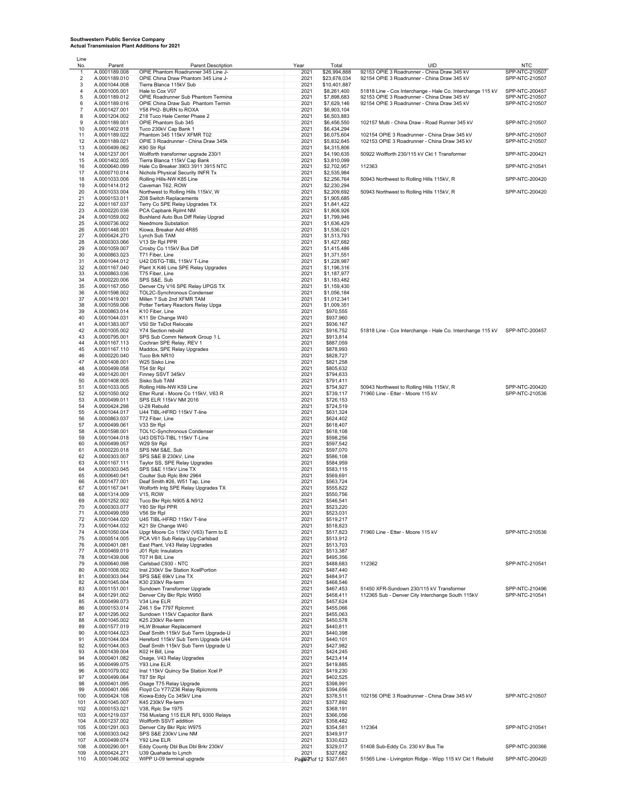Line

No. Parent Parent Description Year Total UID NTC 1 A.0001189.008 OPIE Phantom Roadrunner 345 Line J- 2021 \$26,994,888 92153 OPIE 3 Roadrunner - China Draw 345 kV SPP-NTC-210507 2 A.0001189.010 OPIE China Draw Phantom 345 Line J- 2021 \$23,678,034 92154 OPIE 3 Roadrunner - China Draw 345 kV SPP-NTC-210507 3 A.0001044.008 Tierra Blanca 115kV Sub 2021 \$10,401,887 4 A.0001005.001 Hale to Cox V07 2021 \$8,261,400 51818 Line - Cox Interchange - Hale Co. Interchange 115 kV SPP-NTC-200457 5 A.0001189.012 OPIE Roadrunner Sub Phantom Termina 2021 \$7,898,683 92153 OPIE 3 Roadrunner - China Draw 345 kV SPP-NTC-210507 6 A.0001189.016 OPIE China Draw Sub Phantom Termin 2021 \$7,629,146 92154 OPIE 3 Roadrunner - China Draw 345 kV<br>7 A.0001427.001 Y58 PH2- BURN to ROXA 2021 2021 \$6,903,104 2021 \$6,903,104 8 A.0001204.002 Z18 Tuco Hale Center Phase 2 2021 \$6,503,883<br>9 A.0001189.001 OPIE Phantom Sub 345<br>10 A.0001402.018 Tuco 230kV Cap Bank 1 2021 \$6,434,294 9 A.0001189.001 OPIE Phantom Sub 345 2021 \$6,456,550 102157 Multi - China Draw - Road Runner 345 kV SPP-NTC-210507<br>10 A.0001402.018 Tuco 230kV Cap Bank 1 2021 \$6,434.294 \$6,434.294 10 A.0001149.001 OPIE Phantom Sub 345<br>
10 A.0001149.001 OPIE Phantom Sub 345<br>
10 A.0001149.01 Tuco 230kV Cap Bank 1<br>
11 A.0001149.021 Phantom 345 115kV XFMR T02<br>
2021 \$6,434,294<br>
12021 \$6,675,604<br>
2021 \$5,832,645<br>
A.000014 11 A.0001189.022 Phantom 345 115kV XFMR T02 2021 \$6,075,604 102154 OPIE 3 Roadrunner - China Draw 345 kV SPP-NTC-210507 12 12 A.0001189.021 OPIE 3 Roadrunner - China Draw 345k<br>
2021 \$5,832,645 102153 OPIE 3 Roadrunner - China Draw 345 kV<br>
2021 \$4,315,806 102153 OPIE 3 Roadrunner - China Draw 345 kV 13 A.0000499.062 K90 Str Rpl<br>14 A.0001237.001 Wollforth transformer upgrade 230/1 2021 \$4,315,806 50922 Wolfforth 230/115 kV Ckt 1 Transformer SPP-NTC-200421<br>15 A.0001402.005 Tierra Blanca 115kV Cap Bank<br>16 A.0000640.099 17 A.0000710.014 Nichols Physical Security INFR Tx 2021 \$2,535,984<br>18 A.000103.006 Rolling Hills-NW K85 Line 2021 \$2,255,984<br>19 A.0001414.012 Caveman T62, ROW 2021 \$2,230,794 \$2,230,794 18 A.0001033.006 Rolling Hills-NW K85 Line 2021 \$2,256,764 50943 Northwest to Rolling Hills 115kV, R<br>18 A.0001033.006 Rolling Hills-NW K85 Line 2021 \$2,256,764 50943 Northwest to Rolling Hills 115kV, R<br>2021 \$2,230,294 19 A.0001414.012 Caveman T62, ROW 2021 \$2,230,294 2021 32,209,692 50943 Northwest to Rolling Hills 115kV, W 2021 \$2,209,692 50943 Northwest to Rolling Hills 115kV, R SPP-NTC-200420<br>A 0000153.011 Z08 Switch Replacements 21 A.0000153.011 Z08 Switch Replacements 2021 \$1,905,685 22 A.0001167.037 Terry Co SPE Relay Upgrades TX 2021 \$1,841,422 23 A.0000220.036 PCA Capbank Rplmt NM 2021 \$1,808,926 24 A.0000220.036 PCA Capbank Rplnt MM<br>24 A.0001059.002 Bushland Auto Bus Diff Relay Upgrad 2021 \$1,799,946<br>25 A.00010736.002 Busedmore Substation 25 A.0000736.002 Needmore Substation 2021 \$1,636,429<br>26 A.0001448.001 Kiowa, Breaker Add 4R85 2021 \$1,536,021 \$1,536,021<br>2021 \$1,513,793 2021 \$1,513,793 2011 - 2021 - 2021 - 2021 - 2021 - 2021 - 2022<br>Kiowa, Breaker Add 4R85 27 A.0000424.270 Lynch Sub TAM 2021 \$1,513,793 28 A.0000303.066 V13 Str Rpl PPR 2021 \$1,427,682 29 A.0001059.007 Crosby Co 115kV Bus Diff 2021 \$1,415,486 30 A.0000863.023 T71 Fiber, Line 2021 \$1,371,551 31 A.0001044.012 U42 DSTG-TIBL 115kV T-Line 2021 \$1,228,987 32 A.0001167.040 Plant X K46 Line SPE Relay Upgrades 2021 \$1,196,316<br>
33 A.0000863.036 T75 Fiber, Line<br>
2021 \$1,187,977<br>
2021 \$1,159,430<br>
2021 \$1,159,430<br>
2021 \$1,159,430<br>
2021 \$1,159,430 33 A.0000863.036 T75 Fiber, Line 2021 \$1,187,977<br>34 A.0001220.006 SPS S&E, Sub 2021 \$1,183,482<br>2021 \$1,159,430 Denver Cty V16 SPE Relay UPGS TX 2021 \$1,159,430 36 A.0001598.002 TOL2C-Synchronous Condenser 2021 \$1,056,184 37 A.0001419.001 Millen ? Sub 2nd XFMR TAM 2021 \$1,012,341 38 A.0001059.006 Potter Tertiary Reactors Relay Upga 2021 \$1,009,351 39 A.0000863.014 K10 Fiber, Line 2021 \$970,555 40 A.0001044.031 K11 Str Change W40 2021 \$937,960 41 A.0001045.014 Will Striet The Construction of the Construction of the Construction of the Construction of the Construction of the Construction of the A.0001045.007 V50 Str TxDot Relocate 2021 \$936,167<br>41 A.00010383.007 4.0001005.002 Y74 Section rebuild 2021 2021 \$916,752 51818 Line - Cox Interchange - Hale Co. Interchange 115 kV SPP-NTC-200457<br>4.0000795.001 SPS Sub Comm Network Group 1 L 43 A.0001005.002 V74 Section rebuild<br>
4.0007095.001 SPS Sub Comm Network Group 1 L 2021 \$916,752<br>
4.000795.001 SPS Sub Comm Network Group 1 L 2021 \$913,814<br>
4.00011957.113 Cochran SPE Relay REV 1 44 A.0001167.113 Cochran SPE Relay, REV 1 2021 \$887,059<br>45 A.0001167.110 Maddox, SPE Relay Upgrades 2021 \$878,993<br>47 A.0001200.001 Tuco Brk NR10<br>2021 \$821,258<br>2021 \$821,258 Maddox, SPE Relay Upgrades 4.0000220.040 Tuco Brk NR10 2021 \$828,727<br>4.0001408.001 W25 Sisko Line 2021 2021 \$829.727 47 A.0001408.001 W25 Sisko Line 2021 \$821,258 48 A.0000499.058 T54 Str Rpl<br>49 A.0001420.001 Finney SSVT 345kV 2021 \$794,6332 1 2021 \$794,633<br>50 A.0001408.005 Sisko Sub TAM 2021 \$791,411 51 A.0001033.005 Rolling Hills-NW K59 Line 2021 \$754,927 50943 Northwest to Rolling Hills 115kV, R SPP-NTC-200420 52 A.0001050.002 Etter Rural - Moore Co 115kV, V63 R 2021 \$739,117<br>53 A.0000499.011 SPS ELR 115kV NM 2016 2021 \$726,153 53 A.0000499.011 SPS ELR 115kV NM 2016<br>54 A.0000499.011 SPS ELR 115kV NM 2016<br>54 A.0000424.298 U-28 Rebuild 2021 2021 \$724,519 54 A.0000424.298 U-28 Rebuild 2021 \$724,519<br>55 A.0001044.017 U44 TIBL-HFRD 115kV T-line 2021 \$861,324 \$681,324<br>56 A.0000863.037 T72 Fiber, Line 2021 \$824,402 1.0001044.017 U44 TIBL-HFRD 115kV T-line 2021 2021 \$631,324<br>A.0001044.017 U44 TIBL-HFRD 115kV T-line 2021 2021 \$631,324<br>2021 \$624,402 56 A.0000863.037 T72 Fiber, Line 2021 2021 \$624,402<br>57 A.0000863.037 T72 Fiber, Line 2021 2021 \$624,402 57 A.0000499.061 V33 Str Rpl<br>
58 A.0001598.001 TOL1C-Synchronous Condenser<br>
59 A.0001044.018 U43 DSTG-TIBL 115kV T-Line<br>
2021 \$598,2564<br>
2021 \$597,542<br>
2021 \$597,542<br>
2021 \$597,542 58 A.0001598.001 TOL1C-Synchronous Condenser 2021 \$618,108 59 A.0001044.018 U43 DSTG-TIBL 115kV T-Line 2021 \$598,256 40001999.067 V29 Str Rpl 2021 \$598,256<br>
40.0001949.057 W29 Str Rpl 2021 \$597,542<br>
60 A.0000299.051 SPS NM S&E, Sub<br>
62 A.0000202.001 SPS S&E B 230kV, Line 2021 \$597,070<br>
42.000220.001 SPS S&E B 230kV, Line 2021 \$596,108<br>
4 61 A.0000220.018 SPS NM S&E, Sub 2021 \$597,070 62 A.0000303.007 SPS S&E B 230kV, Line 2021 \$586,108 63 A.0001167.111 Taylor SS, SPE Relay Upgrades 2021 \$584,959 64 A.0000303.045 SPS S&E 115kV Line TX 2021 \$583,115 65 A.0000640.041 Coulter Sub Rplc Brkr 2964 2021 \$569,691 66 A.0001477.001 Deaf Smith #26, W51 Tap, Line 2021 2021 \$563,724<br>67 A.0001167.041 Wolforth Intg SPE Relay Upgrades TX 2021 \$556,8224<br>68 A.0001314.009 V15, ROW 2021 \$550,756 Wolforth Intg SPE Relay Upgrades TX 68 A.0001314.009 V15, ROW 2021 \$550,756 69 A.0001252.002 Tuco Bkr Rplc N905 & N912 2021 \$546,541 70 A.0000303.077 Y80 Str Rpl PPR 2021 \$523,220 71 A.0000499.059 V56 Str Rpl 2021 \$523,031 72 A.0001044.020 U45 TIBL-HFRD 115kV T-line 2021 \$519,217 73 A.0001044.032 K21 Str Change W40 2021 \$518,823 74 A.0001050.004 Upgr Moore Co 115kV (V63) Term to E 2021 \$517,823 71960 Line - Etter - Moore 115 kV SPP-NTC-210536 75 A.0000514.005 PCA V61 Sub Relay Upg-Carlsbad 2021 \$513,912 76 A.0000401.081 East Plant, V43 Relay Upgrades 2021 \$513,703 77 A.0000469.019 J01 Rplc Insulators 2021 \$513,387 78 A.0001439.006 T07 H Bill, Line 2021 \$495,356 79 A.0000640.098 Carlsbad C930 - NTC 2021 \$488,683 112362 SPP-NTC-210541 80 A.0001008.002 Inst 230kV Sw Station XcelPortion 2021 \$487,440 81 A.0000303.044 SPS S&E 69kV Line TX 2021 \$484,917 82 A.0001045.004 K30 230kV Re-term 2021 2021 \$468,546<br>
83 A.0001151.001 Sundown Transformer Upgrade 2021 \$467,453<br>
84 A.0001291.002 Denver City Bkr Rplc W950<br>
85 A.0000499.073 V34 Line ELR Rplc W950 2021 \$457,624 83 A.0001151.001 Sundown Transformer Upgrade 2021 \$467,453 51450 XFR-Sundown 230/115 kV Transformer SPP-NTC-210496 84 A.0001291.002 Denver City Bkr Rplc W950 2021 \$458,411 112365 Sub - Denver City Interchange South 115kV SPP-NTC-210541 85 A.0000499.073 V34 Line ELR<br>86 A.0000153.014 Z46.1 Sw 7797 Rplcmnt<br>87 A.0001295.002 Sundown 115kV Capacitor Bank 2021 \$455,063 88 A.0001045.002 K25 230kV Re-term 2021 \$450,578<br>189 A.0001577.019 HLW Breaker Replacement 2021 \$440,811<br>2021 \$440,398 Deaf Smith 115kV Sub Term Upgrade-U 89 A.0001577.019 HLW Breaker Replacement 2021<br>89 A.0001044.023 Deaf Smith 115kV Sub Term Upgrade-U 2021 90 A.0001044.023 Deaf Smith 115kV Sub Term Upgrade-U 2021 \$440,398 91 A.0001044.004 Hereford 115kV Sub Term Upgrade U44 2021 \$440,101 92 A.0001044.003 Deaf Smith 115kV Sub Term Upgrade U 2021 \$427,982 93 A.0001439.004 K02 H Bill, Line<br>94 A.0000401.082 Osage, V43 Relay Upgrades 2021 \$424,414 2021 \$423,414<br>95 A.0000499.075 Y93 Line ELR 2021 \$419,885 196 A.0001079.002 Inst 115kV Quincy Sw Station Xcel P 2021 \$419,230<br>97 A.0000499.064 T87 Str Rpl 2021 \$402,525 97 A.0000499.064 T87 Str Rpl 2021 \$402,525 98 A.0000401.095 Osage T75 Relay Upgrade 2021 \$398,991 99 A.0000401.066 Floyd Co Y77/Z36 Relay Rplcmnts 2021 \$394,656 102156 OPIE 3 Roadrunner - China Draw 345 kV SPP-NTC-210507 101 A.0001045.007 K45 230kV Re-term 2021 \$377,892 102 A.0000153.021 V38, Rplc Sw 1975 2021 \$368,191 103 A.0001219.037 T56 Mustang 115 ELR RFL 9300 Relays 2021 \$366,056 104 A.0001237.002 Wolfforth SSVT addition<br>
104 A.0001237.002 Wolfforth SSVT addition<br>
105 A.0001291.003 Denver City Bkr Rplc W975 2021 \$358,482<br>
106 A.0000303.042 SPS S&E 230kV Line NM 2021 \$349,917 105 A.0001291.003 Denver City Bkr Rplc W975 2021 \$354,581 112364 SPP-NTC-210541 106 A.0000303.042 SPS S&E 230kV Line NM 2021 \$349,917 107 A.0000499.074 Y92 Line ELR<br>108 A.0000290.001 Eddy County Dbl Bus Dbl Brkr 230kV 2021 \$329,017 51408 Sub-Eddy Co. 230 kV Bus Tie<br>109 A.0000424.271 U39 Quahada to Lynch Brkr 230kV 2021 110 A.0001046.002 WIPP U-09 terminal upgrade 2021 2021 Brand Page 7 of 12 \$327,661 51565 Line - Livingston Ridge - Wipp 115 kV Ckt 1 Rebuild SPP-NTC-200420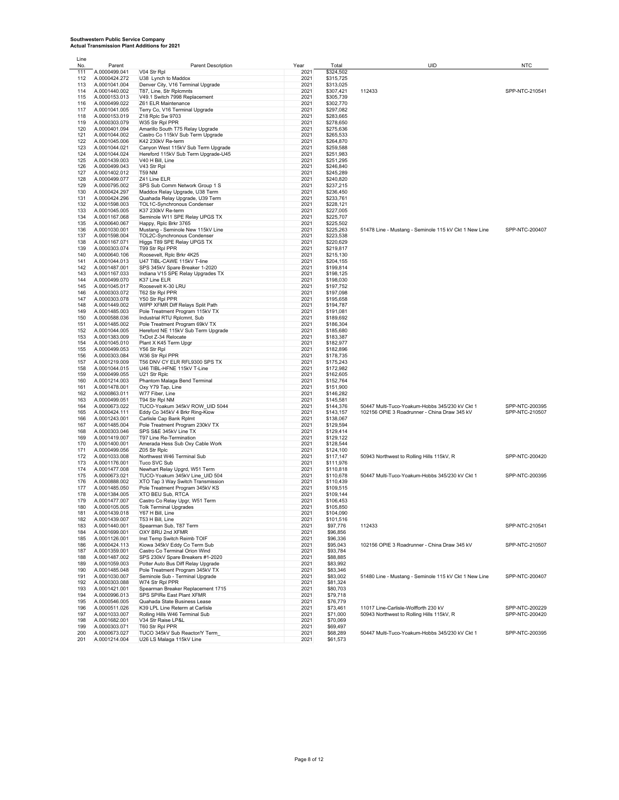| Line |               |                                     |      |           |                                                       |                |
|------|---------------|-------------------------------------|------|-----------|-------------------------------------------------------|----------------|
| No.  | Parent        | Parent Description                  | Year | Total     | <b>UID</b>                                            | <b>NTC</b>     |
| 111  | A.0000499.041 | V04 Str Rpl                         | 2021 | \$324,502 |                                                       |                |
| 112  | A.0000424.272 | U38 Lynch to Maddox                 | 2021 | \$315,725 |                                                       |                |
| 113  | A.0001041.004 | Denver City, V16 Terminal Upgrade   | 2021 | \$313,025 |                                                       |                |
| 114  | A.0001440.002 | T87, Line, Str Rplcmnts             | 2021 | \$307,421 | 112433                                                | SPP-NTC-210541 |
| 115  | A.0000153.013 | V49.1 Switch 7998 Replacement       | 2021 | \$305,739 |                                                       |                |
| 116  | A.0000499.022 | Z61 ELR Maintenance                 | 2021 | \$302,770 |                                                       |                |
| 117  | A.0001041.005 | Terry Co, V16 Terminal Upgrade      | 2021 | \$297,082 |                                                       |                |
| 118  | A.0000153.019 | Z18 Rplc Sw 9703                    | 2021 | \$283,665 |                                                       |                |
| 119  | A.0000303.079 | W35 Str RpI PPR                     | 2021 | \$278,650 |                                                       |                |
|      |               | Amarillo South T75 Relay Upgrade    | 2021 |           |                                                       |                |
| 120  | A.0000401.094 |                                     |      | \$275,636 |                                                       |                |
| 121  | A.0001044.002 | Castro Co 115kV Sub Term Upgrade    | 2021 | \$265,533 |                                                       |                |
| 122  | A.0001045.006 | K42 230kV Re-term                   | 2021 | \$264,870 |                                                       |                |
| 123  | A.0001044.021 | Canyon West 115kV Sub Term Upgrade  | 2021 | \$259,588 |                                                       |                |
| 124  | A.0001044.024 | Hereford 115kV Sub Term Upgrade-U45 | 2021 | \$251,983 |                                                       |                |
| 125  | A.0001439.003 | V40 H Bill, Line                    | 2021 | \$251,295 |                                                       |                |
| 126  | A.0000499.043 | V43 Str Rpl                         | 2021 | \$246,840 |                                                       |                |
|      |               |                                     |      |           |                                                       |                |
| 127  | A.0001402.012 | <b>T59 NM</b>                       | 2021 | \$245,289 |                                                       |                |
| 128  | A.0000499.077 | Z41 Line ELR                        | 2021 | \$240,820 |                                                       |                |
| 129  | A.0000795.002 | SPS Sub Comm Network Group 1 S      | 2021 | \$237,215 |                                                       |                |
| 130  | A.0000424.297 | Maddox Relay Upgrade, U38 Term      | 2021 | \$236,450 |                                                       |                |
| 131  | A.0000424.296 | Quahada Relay Upgrade, U39 Term     | 2021 | \$233,761 |                                                       |                |
| 132  | A.0001598.003 | TOL1C-Synchronous Condenser         | 2021 | \$228,121 |                                                       |                |
| 133  | A.0001045.005 | K37 230kV Re-term                   | 2021 | \$227,005 |                                                       |                |
| 134  | A.0001167.068 | Seminole W11 SPE Relay UPGS TX      | 2021 | \$225,707 |                                                       |                |
|      |               |                                     |      |           |                                                       |                |
| 135  | A.0000640.067 | Happy, Rplc Brkr 3765               | 2021 | \$225,502 |                                                       |                |
| 136  | A.0001030.001 | Mustang - Seminole New 115kV Line   | 2021 | \$225,263 | 51478 Line - Mustang - Seminole 115 kV Ckt 1 New Line | SPP-NTC-200407 |
| 137  | A.0001598.004 | TOL2C-Synchronous Condenser         | 2021 | \$223,538 |                                                       |                |
| 138  | A.0001167.071 | Higgs T89 SPE Relay UPGS TX         | 2021 | \$220,629 |                                                       |                |
| 139  | A.0000303.074 | T99 Str Rpl PPR                     | 2021 | \$219,817 |                                                       |                |
| 140  | A.0000640.106 | Roosevelt, Rplc Brkr 4K25           | 2021 | \$215,130 |                                                       |                |
| 141  | A.0001044.013 | U47 TIBL-CAWE 115kV T-line          | 2021 | \$204,155 |                                                       |                |
|      |               |                                     |      |           |                                                       |                |
| 142  | A.0001487.001 | SPS 345kV Spare Breaker 1-2020      | 2021 | \$199,814 |                                                       |                |
| 143  | A.0001167.033 | Indiana V15 SPE Relay Upgrades TX   | 2021 | \$198,125 |                                                       |                |
| 144  | A.0000499.070 | K37 Line ELR                        | 2021 | \$198,030 |                                                       |                |
| 145  | A.0001045.017 | Roosevelt K-30 LRU                  | 2021 | \$197,752 |                                                       |                |
| 146  | A.0000303.072 | T62 Str Rpl PPR                     | 2021 | \$197,098 |                                                       |                |
| 147  | A.0000303.078 | Y50 Str RpI PPR                     | 2021 | \$195,658 |                                                       |                |
| 148  | A.0001449.002 | WIPP XFMR Diff Relays Split Path    | 2021 | \$194,787 |                                                       |                |
| 149  |               |                                     |      |           |                                                       |                |
|      | A.0001485.003 | Pole Treatment Program 115kV TX     | 2021 | \$191,081 |                                                       |                |
| 150  | A.0000588.036 | Industrial RTU Rplcmnt, Sub         | 2021 | \$189,692 |                                                       |                |
| 151  | A.0001485.002 | Pole Treatment Program 69kV TX      | 2021 | \$186,304 |                                                       |                |
| 152  | A.0001044.005 | Hereford NE 115kV Sub Term Upgrade  | 2021 | \$185,680 |                                                       |                |
| 153  | A.0001383.009 | TxDot Z-34 Relocate                 | 2021 | \$183,387 |                                                       |                |
| 154  | A.0001045.010 | Plant X K45 Term Upgr               | 2021 | \$182,977 |                                                       |                |
| 155  | A.0000499.053 | Y56 Str Rpl                         | 2021 | \$182,896 |                                                       |                |
|      |               |                                     |      |           |                                                       |                |
| 156  | A.0000303.084 | W36 Str RpI PPR                     | 2021 | \$178,735 |                                                       |                |
| 157  | A.0001219.009 | T56 DNV CY ELR RFL9300 SPS TX       | 2021 | \$175,243 |                                                       |                |
| 158  | A.0001044.015 | U46 TIBL-HFNE 115kV T-Line          | 2021 | \$172,982 |                                                       |                |
| 159  | A.0000499.055 | U21 Str Rplc                        | 2021 | \$162,605 |                                                       |                |
| 160  | A.0001214.003 | Phantom Malaga Bend Terminal        | 2021 | \$152,764 |                                                       |                |
| 161  | A.0001478.001 | Oxy Y79 Tap, Line                   | 2021 | \$151,900 |                                                       |                |
| 162  | A.0000863.011 | W77 Fiber, Line                     | 2021 | \$146,282 |                                                       |                |
| 163  | A.0000499.051 | T94 Str Rpl NM                      | 2021 | \$145,581 |                                                       |                |
|      |               |                                     |      |           |                                                       | SPP-NTC-200395 |
| 164  | A.0000673.022 | TUCO-Yoakum 345kV ROW_UID 5044      | 2021 | \$144,376 | 50447 Multi-Tuco-Yoakum-Hobbs 345/230 kV Ckt 1        |                |
| 165  | A.0000424.111 | Eddy Co 345kV 4 Brkr Ring-Kiow      | 2021 | \$143,157 | 102156 OPIE 3 Roadrunner - China Draw 345 kV          | SPP-NTC-210507 |
| 166  | A.0001243.001 | Carlisle Cap Bank Rplmt             | 2021 | \$138,067 |                                                       |                |
| 167  | A.0001485.004 | Pole Treatment Program 230kV TX     | 2021 | \$129,594 |                                                       |                |
| 168  | A.0000303.046 | SPS S&E 345kV Line TX               | 2021 | \$129,414 |                                                       |                |
| 169  | A.0001419.007 | T97 Line Re-Termination             | 2021 | \$129,122 |                                                       |                |
| 170  | A.0001400.001 | Amerada Hess Sub Oxy Cable Work     | 2021 | \$128,544 |                                                       |                |
| 171  | A.0000499.056 | Z05 Str Rplc                        | 2021 | \$124,100 |                                                       |                |
| 172  |               |                                     |      |           |                                                       |                |
|      | A.0001033.008 | Northwest W46 Terminal Sub          | 2021 | \$117,147 | 50943 Northwest to Rolling Hills 115kV, R             | SPP-NTC-200420 |
| 173  | A.0001176.001 | Tuco SVC Sub                        | 2021 | \$111,976 |                                                       |                |
| 174  | A.0001477.008 | Newhart Relay Upgrd, W51 Term       | 2021 | \$110,818 |                                                       |                |
| 175  | A.0000673.021 | TUCO-Yoakum 345kV Line_UID 504      | 2021 | \$110,678 | 50447 Multi-Tuco-Yoakum-Hobbs 345/230 kV Ckt 1        | SPP-NTC-200395 |
| 176  | A.0000888.002 | XTO Tap 3 Way Switch Transmission   | 2021 | \$110,439 |                                                       |                |
| 177  | A.0001485.050 | Pole Treatment Program 345kV KS     | 2021 | \$109,515 |                                                       |                |
| 178  | A.0001384.005 | XTO BEU Sub, RTCA                   | 2021 | \$109,144 |                                                       |                |
| 179  | A.0001477.007 | Castro Co Relay Upgr, W51 Term      | 2021 | \$106,453 |                                                       |                |
| 180  | A.0000105.005 | <b>Tolk Terminal Upgrades</b>       | 2021 | \$105,850 |                                                       |                |
| 181  | A.0001439.018 | Y67 H Bill, Line                    | 2021 | \$104,090 |                                                       |                |
|      |               | T53 H Bill, Line                    |      |           |                                                       |                |
| 182  | A.0001439.007 |                                     | 2021 | \$101,516 |                                                       |                |
| 183  | A.0001440.001 | Spearman Sub, T87 Term              | 2021 | \$97,776  | 112433                                                | SPP-NTC-210541 |
| 184  | A.0001699.001 | OXY BRU 2nd XFMR                    | 2021 | \$96,856  |                                                       |                |
| 185  | A.0001126.001 | Inst Temp Switch Reimb TOIF         | 2021 | \$96,336  |                                                       |                |
| 186  | A.0000424.113 | Kiowa 345kV Eddy Co Term Sub        | 2021 | \$95,043  | 102156 OPIE 3 Roadrunner - China Draw 345 kV          | SPP-NTC-210507 |
| 187  | A.0001359.001 | Castro Co Terminal Orion Wind       | 2021 | \$93,784  |                                                       |                |
| 188  | A.0001487.002 | SPS 230kV Spare Breakers #1-2020    | 2021 | \$88,885  |                                                       |                |
| 189  | A.0001059.003 | Potter Auto Bus Diff Relay Upgrade  | 2021 | \$83,992  |                                                       |                |
| 190  | A.0001485.048 | Pole Treatment Program 345kV TX     | 2021 | \$83,346  |                                                       |                |
| 191  | A.0001030.007 | Seminole Sub - Terminal Upgrade     | 2021 | \$83,002  | 51480 Line - Mustang - Seminole 115 kV Ckt 1 New Line | SPP-NTC-200407 |
|      |               |                                     |      |           |                                                       |                |
| 192  | A.0000303.088 | W74 Str Rpl PPR                     | 2021 | \$81,324  |                                                       |                |
| 193  | A.0001421.001 | Spearman Breaker Replacement 1715   | 2021 | \$80,703  |                                                       |                |
| 194  | A.0000996.013 | SPS SPIRe East Plant XFMR           | 2021 | \$79,718  |                                                       |                |
| 195  | A.0000546.005 | Quahada State Business Lease        | 2021 | \$76,779  |                                                       |                |
| 196  | A.0000511.026 | K39 LPL Line Reterm at Carlisle     | 2021 | \$73,461  | 11017 Line-Carlisle-Wolfforth 230 kV                  | SPP-NTC-200229 |
| 197  | A.0001033.007 | Rolling Hills W46 Terminal Sub      | 2021 | \$71,000  | 50943 Northwest to Rolling Hills 115kV, R             | SPP-NTC-200420 |
| 198  | A.0001682.001 | V34 Str Raise LP&L                  | 2021 | \$70,069  |                                                       |                |
| 199  | A.0000303.071 | T60 Str Rpl PPR                     | 2021 | \$69,497  |                                                       |                |
| 200  | A.0000673.027 |                                     | 2021 |           | 50447 Multi-Tuco-Yoakum-Hobbs 345/230 kV Ckt 1        | SPP-NTC-200395 |
|      |               | TUCO 345kV Sub Reactor/Y Term       |      | \$68,289  |                                                       |                |
| 201  | A.0001214.004 | U26 LS Malaga 115kV Line            | 2021 | \$61,573  |                                                       |                |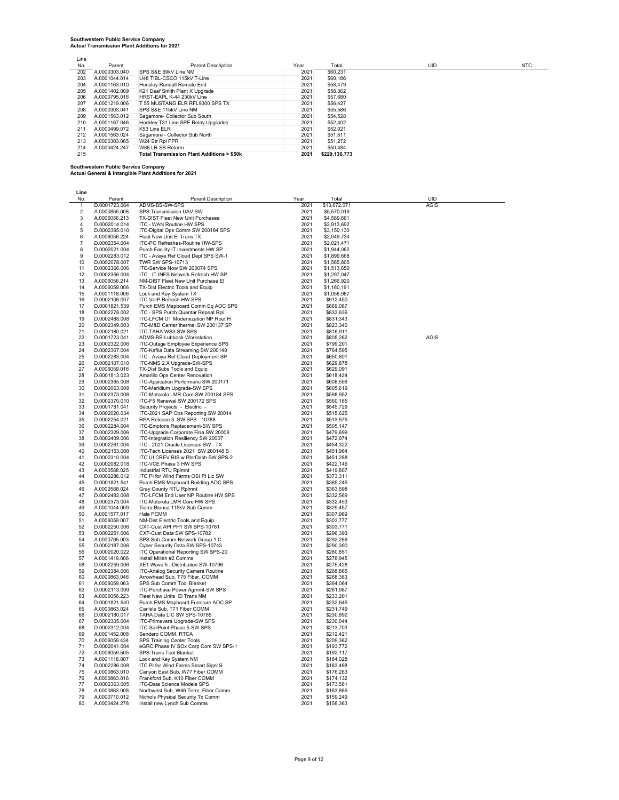| Line |               |                                                      |      |               |
|------|---------------|------------------------------------------------------|------|---------------|
| No.  | Parent        | Parent Description                                   | Year | Total         |
| 202  | A.0000303.040 | SPS S&E 69kV Line NM                                 | 2021 | \$60,231      |
| 203  | A.0001044.014 | U48 TIBL-CSCO 115kV T-Line                           | 2021 | \$60,186      |
| 204  | A.0001163.010 | Hunslev-Randall Remote End                           | 2021 | \$58,479      |
| 205  | A.0001402.009 | K21 Deaf Smith Plant X Upgrade                       | 2021 | \$58,362      |
| 206  | A.0000795.016 | HRST-FAPL K-44 230kV Line                            | 2021 | \$57,680      |
| 207  | A.0001219.006 | T 55 MUSTANG ELR RFL9300 SPS TX                      | 2021 | \$56,427      |
| 208  | A.0000303.041 | SPS S&E 115kV Line NM                                | 2021 | \$55,586      |
| 209  | A.0001563.012 | Sagamore- Collector Sub South                        | 2021 | \$54,528      |
| 210  | A.0001167.046 | Hockley T31 Line SPE Relay Upgrades                  | 2021 | \$52,402      |
| 211  | A.0000499.072 | K53 Line ELR                                         | 2021 | \$52,021      |
| 212  | A.0001563.024 | Sagamore - Collector Sub North                       | 2021 | \$51,611      |
| 213  | A.0000303.065 | W24 Str RpI PPR                                      | 2021 | \$51,272      |
| 214  | A.0000424.247 | W88 LR SB Reterm                                     | 2021 | \$50,484      |
| 215  |               | <b>Total Transmission Plant Additions &gt; \$50k</b> | 2021 | \$229.136.773 |

**Southwestern Public Service Company Actual General & Intangible Plant Additions for 2021**

| Line                          |                                |                                                                            |              |                            |             |
|-------------------------------|--------------------------------|----------------------------------------------------------------------------|--------------|----------------------------|-------------|
| No.                           | Parent                         | <b>Parent Description</b>                                                  | Year         | Total                      | UID         |
| $\mathbf{1}$                  | D.0001723.064                  | ADMS-BS-SW-SPS                                                             | 2021         | \$13,672,071               | <b>AGIS</b> |
| $\overline{2}$<br>$\mathbf 3$ | A.0000855.008<br>A.0006056.213 | SPS Transmission UAV SW<br>TX-DIST Fleet New Unit Purchases                | 2021<br>2021 | \$5,570,019<br>\$4,589,661 |             |
| $\overline{4}$                | D.0002014.014                  | ITC - WAN Routine HW SPS                                                   | 2021         | \$3,913,692                |             |
| 5                             | D.0002395.010                  | ITC-Digital Ops Comm SW 200184 SPS                                         | 2021         | \$3.150.130                |             |
| 6                             | A.0006056.224                  | Fleet New Unit El Trans TX                                                 | 2021         | \$2,049,734                |             |
| $\overline{7}$                | D.0002354.004                  | ITC-PC Refreshes-Routine HW-SPS                                            | 2021         | \$2,021,471                |             |
| 8                             | D.0002021.004                  | Purch Facility IT Investments HW SP                                        | 2021         | \$1.944.062                |             |
| 9                             | D.0002283.012                  | ITC - Avaya Ref Cloud Depl SPS SW-1                                        | 2021         | \$1,899,668                |             |
| 10                            | D.0002078.007                  | <b>TWR SW SPS-10713</b>                                                    | 2021         | \$1,565,805                |             |
| 11                            | D.0002366.006                  | ITC-Service Now SW 200074 SPS                                              | 2021         | \$1,513,650                |             |
| 12                            | D.0002356.004                  | ITC - IT INFS Network Refresh HW SP                                        | 2021         | \$1,297,047                |             |
| 13                            | A.0006056.214                  | NM-DIST Fleet New Unit Purchase FI                                         | 2021         | \$1,266,920                |             |
| 14<br>15                      | A.0006059.006<br>A.0001118.006 | TX-Dist Electric Tools and Equip<br>Lock and Key System TX                 | 2021<br>2021 | \$1,160,191<br>\$1,058,987 |             |
| 16                            | D.0002106.007                  | ITC-VoIP Refresh-HW SPS                                                    | 2021         | \$912,450                  |             |
| 17                            | D.0001821.539                  | Purch EMS Mapboard Comm Eq AOC SPS                                         | 2021         | \$869,087                  |             |
| 18                            | D.0002278.002                  | ITC - SPS Purch Quantar Repeat Rpl                                         | 2021         | \$833,636                  |             |
| 19                            | D.0002488.008                  | ITC-LFCM OT Modernization NP Rout H                                        | 2021         | \$831,343                  |             |
| 20                            | D.0002349.003                  | ITC-M&D Center thermal SW 200137 SP                                        | 2021         | \$823.340                  |             |
| 21                            | D.0002180.021                  | ITC-TAHA WS3-SW-SPS                                                        | 2021         | \$816,911                  |             |
| 22                            | D.0001723.041                  | ADMS-BS-Lubbock-Workstation                                                | 2021         | \$805,262                  | AGIS        |
| 23                            | D.0002322.006                  | ITC-Outage Employee Experience SPS                                         | 2021         | \$799.201                  |             |
| 24                            | D.0002367.004                  | ITC-Kafka Data Streaming SW 200148                                         | 2021         | \$764,595                  |             |
| 25<br>26                      | D.0002283.004<br>D.0002107.010 | ITC - Avaya Ref Cloud Deployment SP<br>ITC-NMS 2.X Upgrade-SW-SPS          | 2021<br>2021 | \$650,601<br>\$629,878     |             |
| 27                            | A.0006059.016                  | TX-Dist Subs Tools and Equip                                               | 2021         | \$629,091                  |             |
| 28                            | D.0001813.023                  | Amarillo Ops Center Renovation                                             | 2021         | \$618.424                  |             |
| 29                            | D.0002365.008                  | ITC-Appication Performanc SW 200171                                        | 2021         | \$608,556                  |             |
| 30                            | D.0002063.009                  | ITC-Meridium Upgrade-SW SPS                                                | 2021         | \$605,619                  |             |
| 31                            | D.0002373.008                  | ITC-Motorola LMR Core SW 200184 SPS                                        | 2021         | \$598,952                  |             |
| 32                            | D.0002370.010                  | ITC-F5 Renewal SW 200172 SPS                                               | 2021         | \$560,165                  |             |
| 33                            | D.0001781.041                  | Security Projects - Electric -                                             | 2021         | \$545.729                  |             |
| 34                            | D.0002020.034                  | ITC-2021 SAP Ops Reporting SW 20014                                        | 2021         | \$515,625                  |             |
| 35                            | D.0002254.021                  | RPA Release 3 SW SPS - 10788                                               | 2021         | \$513,975                  |             |
| 36<br>37                      | D.0002284.004<br>D.0002329.006 | <b>ITC-Emptoris Replacement-SW SPS</b>                                     | 2021<br>2021 | \$505.147<br>\$479,699     |             |
| 38                            | D.0002409.006                  | ITC-Upgrade Corporate Fina SW 20009<br>ITC-Integration Resiliency SW 20007 | 2021         | \$472,974                  |             |
| 39                            | D.0002261.004                  | ITC - 2021 Oracle Licenses SW - TX                                         | 2021         | \$454,322                  |             |
| 40                            | D.0002153.008                  | ITC-Tech Licenses 2021 SW 200148 S                                         | 2021         | \$451.964                  |             |
| 41                            | D.0002310.004                  | ITC UI CREV RIS w PlnrDash SW SPS-2                                        | 2021         | \$451.288                  |             |
| 42                            | D.0002082.018                  | ITC-VCE Phase 3 HW SPS                                                     | 2021         | \$422,146                  |             |
| 43                            | A.0000588.025                  | Industrial RTU Rolmnt                                                      | 2021         | \$419,807                  |             |
| 44                            | D.0002286.012                  | ITC PI for Wind Farms OSI PI Lic SW                                        | 2021         | \$373,311                  |             |
| 45                            | D.0001821.541                  | Purch EMS Mapboard Building AOC SPS                                        | 2021         | \$365,245                  |             |
| 46                            | A.0000588.024                  | <b>Gray County RTU Rolmnt</b>                                              | 2021         | \$363.598                  |             |
| 47<br>48                      | D.0002482.008<br>D.0002373.004 | ITC-LFCM End User NP Routine HW SPS<br>ITC-Motorola LMR Core HW SPS        | 2021<br>2021 | \$332,569<br>\$332,453     |             |
| 49                            | A.0001044.009                  | Tierra Blanca 115kV Sub Comm                                               | 2021         | \$329,457                  |             |
| 50                            | A.0001577.017                  | Hale PCMM                                                                  | 2021         | \$307,989                  |             |
| 51                            | A.0006059.007                  | NM-Dist Electric Tools and Equip                                           | 2021         | \$303.777                  |             |
| 52                            | D.0002250.006                  | CXT-Cust API PH1 SW SPS-10781                                              | 2021         | \$303,771                  |             |
| 53                            | D.0002251.006                  | CXT-Cust Data SW SPS-10782                                                 | 2021         | \$296.393                  |             |
| 54                            | A.0000795.003                  | SPS Sub Comm Network Group 1 C                                             | 2021         | \$292,269                  |             |
| 55                            | D.0002187.006                  | Cyber Security Data SW SPS-10743                                           | 2021         | \$290,390                  |             |
| 56                            | D.0002020.022                  | ITC Operational Reporting SW SPS-20                                        | 2021         | \$280.851                  |             |
| 57<br>58                      | A.0001419.006<br>D.0002259.006 | Install Millen #2 Comms<br>XE1 Wave 5 - Distribution SW-10796              | 2021         | \$278,945                  |             |
| 59                            | D.0002384.006                  | ITC-Analog Security Camera Routine                                         | 2021<br>2021 | \$275,428<br>\$268,865     |             |
| 60                            | A.0000863.046                  | Arrowhead Sub, T75 Fiber, COMM                                             | 2021         | \$268,383                  |             |
| 61                            | A.0006059.063                  | SPS Sub Comm Tool Blanket                                                  | 2021         | \$264.064                  |             |
| 62                            | D.0002113.009                  | ITC-Purchase Power Agrmnt-SW SPS                                           | 2021         | \$261,987                  |             |
| 63                            | A.0006056.223                  | Fleet New Units El Trans NM                                                | 2021         | \$233,201                  |             |
| 64                            | D.0001821.540                  | Purch EMS Mapboard Furniture AOC SP                                        | 2021         | \$232.645                  |             |
| 65                            | A.0000863.024                  | Carlisle Sub, T71 Fiber COMM                                               | 2021         | \$231,749                  |             |
| 66                            | D.0002180.017                  | TAHA Data LIC SW SPS-10785                                                 | 2021         | \$230.892                  |             |
| 67                            | D.0002305.004                  | ITC-Primavera Upgrade-SW SPS                                               | 2021         | \$230,044                  |             |
| 68<br>69                      | D.0002312.004<br>A.0001452.008 | ITC-SailPoint Phase 5-SW SPS<br>Sendero COMM, RTCA                         | 2021<br>2021 | \$213,703<br>\$212.421     |             |
| 70                            | A.0006059.434                  | SPS Training Center Tools                                                  | 2021         | \$209,362                  |             |
| 71                            | D.0002041.004                  | eGRC Phase IV SOx Corp Com SW SPS-1                                        | 2021         | \$193,772                  |             |
| 72                            | A.0006059.505                  | SPS Trans Tool Blanket                                                     | 2021         | \$192,117                  |             |
| 73                            | A.0001118.007                  | Lock and Key System NM                                                     | 2021         | \$184,028                  |             |
| 74                            | D.0002286.008                  | ITC PI for Wind Farms Smart SignI S                                        | 2021         | \$183.468                  |             |
| 75                            | A.0000863.010                  | Canyon East Sub, W77 Fiber COMM                                            | 2021         | \$176,283                  |             |
| 76                            | A.0000863.016                  | Frankford Sub, K10 Fiber COMM                                              | 2021         | \$174,132                  |             |
| 77                            | D.0002363.005                  | ITC-Data Science Models SPS                                                | 2021         | \$173,581                  |             |
| 78                            | A.0000863.008                  | Northwest Sub, W46 Term, Fiber Comm                                        | 2021         | \$163,869                  |             |
| 79<br>80                      | A.0000710.012<br>A.0000424.278 | Nichols Physical Security Tx Comm<br>Install new Lynch Sub Comms           | 2021<br>2021 | \$159.249<br>\$158,363     |             |
|                               |                                |                                                                            |              |                            |             |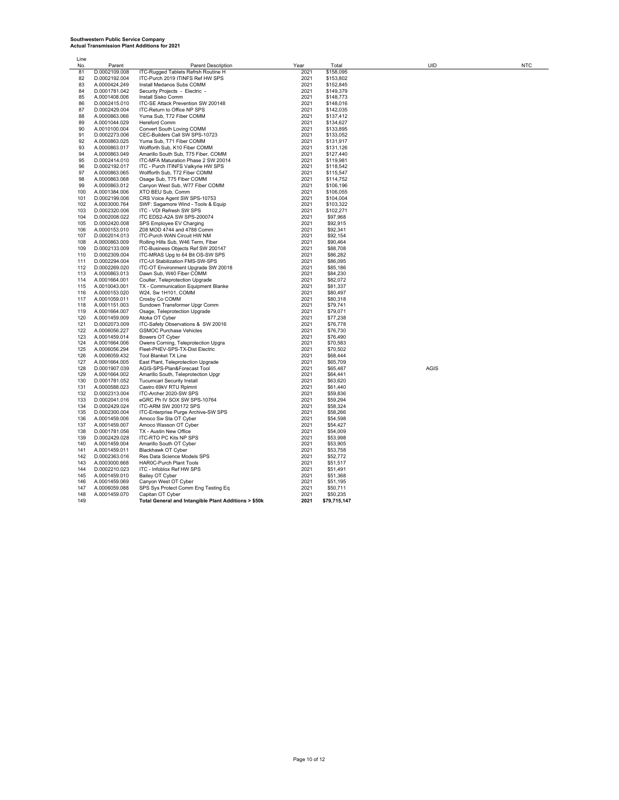| Line       |                                |                                                                          |              |                        |             |            |
|------------|--------------------------------|--------------------------------------------------------------------------|--------------|------------------------|-------------|------------|
| No.        | Parent                         | Parent Description                                                       | Year         | Total                  | UID         | <b>NTC</b> |
| 81         | D.0002109.008                  | ITC-Rugged Tablets Refrsh Routine H                                      | 2021         | \$158,095              |             |            |
| 82         | D.0002192.004                  | ITC-Purch 2019 ITINFS Ref HW SPS                                         | 2021         | \$153,802              |             |            |
| 83         | A.0000424.249                  | Install Medanos Subs COMM                                                | 2021         | \$152,845              |             |            |
| 84         | D.0001781.042                  | Security Projects - Electric -                                           | 2021         | \$149,379              |             |            |
| 85         | A.0001408.006                  | Install Sisko Comm                                                       | 2021         | \$148,773              |             |            |
| 86         | D.0002415.010                  | ITC-SE Attack Prevention SW 200148                                       | 2021         | \$148,016              |             |            |
| 87         | D.0002429.004                  | ITC-Return to Office NP SPS                                              | 2021         | \$142,035              |             |            |
| 88         | A.0000863.066                  | Yuma Sub, T72 Fiber COMM                                                 | 2021         | \$137,412              |             |            |
| 89         | A.0001044.029                  | <b>Hereford Comm</b>                                                     | 2021         | \$134,627              |             |            |
| 90         | A.0010100.004                  | Convert South Loving COMM                                                | 2021         | \$133,895              |             |            |
| 91         | D.0002273.006                  | CEC-Builders Call SW SPS-10723                                           | 2021         | \$133,052              |             |            |
| 92         | A.0000863.025                  | Yuma Sub, T71 Fiber COMM                                                 | 2021         | \$131,917              |             |            |
| 93         | A.0000863.017                  | Wolfforth Sub, K10 Fiber COMM                                            | 2021         | \$131,126              |             |            |
| 94         | A.0000863.049                  | Amarillo South Sub, T75 Fiber, COMM                                      | 2021         | \$127.440              |             |            |
| 95         | D.0002414.010                  | ITC-MFA Maturation Phase 2 SW 20014                                      | 2021         | \$119,981              |             |            |
| 96<br>97   | D.0002192.017                  | ITC - Purch ITINFS Valkyrie HW SPS                                       | 2021<br>2021 | \$118,542<br>\$115,547 |             |            |
| 98         | A.0000863.065<br>A.0000863.068 | Wolfforth Sub, T72 Fiber COMM<br>Osage Sub, T75 Fiber COMM               | 2021         | \$114,752              |             |            |
| 99         | A.0000863.012                  | Canyon West Sub, W77 Fiber COMM                                          | 2021         | \$106,196              |             |            |
| 100        | A.0001384.006                  | XTO BEU Sub, Comm                                                        | 2021         | \$106,055              |             |            |
| 101        | D.0002199.006                  | CRS Voice Agent SW SPS-10753                                             | 2021         | \$104,004              |             |            |
| 102        | A.0003000.764                  | SWF: Sagamore Wind - Tools & Equip                                       | 2021         | \$103,322              |             |            |
| 103        | D.0002320.006                  | ITC - VDI Refresh SW SPS                                                 | 2021         | \$102,271              |             |            |
| 104        | D.0002008.022                  | ITC EDS2-A2A SW SPS-200074                                               | 2021         | \$97,968               |             |            |
| 105        | D.0002420.008                  | SPS Employee EV Charging                                                 | 2021         | \$92,915               |             |            |
| 106        | A.0000153.010                  | Z08 MOD 4744 and 4788 Comm                                               | 2021         | \$92,341               |             |            |
| 107        | D.0002014.013                  | ITC-Purch WAN Circuit HW NM                                              | 2021         | \$92,154               |             |            |
| 108        | A.0000863.009                  | Rolling Hills Sub, W46 Term, Fiber                                       | 2021         | \$90,464               |             |            |
| 109        | D.0002133.009                  | ITC-Business Objects Ref SW 200147                                       | 2021         | \$88,708               |             |            |
| 110        | D.0002309.004                  | ITC-MRAS Upg to 64 Bit OS-SW SPS                                         | 2021         | \$86,282               |             |            |
| 111        | D.0002294.004                  | ITC-UI Stabilization FMS-SW-SPS                                          | 2021         | \$86,095               |             |            |
| 112        | D.0002269.020                  | ITC-OT Environment Upgrade SW 20018                                      | 2021         | \$85,186               |             |            |
| 113        | A.0000863.013                  | Dawn Sub, W40 Fiber COMM                                                 | 2021         | \$84,230               |             |            |
| 114        | A.0001664.001                  | Coulter, Teleprotection Upgrade                                          | 2021<br>2021 | \$82,072               |             |            |
| 115<br>116 | A.0010043.001<br>A.0000153.020 | TX - Communication Equipment Blanke<br>W24, Sw 1H101, COMM               | 2021         | \$81,337<br>\$80,497   |             |            |
| 117        | A.0001059.011                  | Crosby Co COMM                                                           | 2021         | \$80,318               |             |            |
| 118        | A.0001151.003                  | Sundown Transformer Upgr Comm                                            | 2021         | \$79,741               |             |            |
| 119        | A.0001664.007                  | Osage, Teleprotection Upgrade                                            | 2021         | \$79,071               |             |            |
| 120        | A.0001459.009                  | Atoka OT Cyber                                                           | 2021         | \$77,238               |             |            |
| 121        | D.0002073.009                  | ITC-Safety Observations & SW 20016                                       | 2021         | \$76,778               |             |            |
| 122        | A.0006056.227                  | <b>GSMOC Purchase Vehicles</b>                                           | 2021         | \$76,730               |             |            |
| 123        | A.0001459.014                  | Bowers OT Cyber                                                          | 2021         | \$76,490               |             |            |
| 124        | A.0001664.006                  | Owens Corning, Teleprotection Upgra                                      | 2021         | \$70,583               |             |            |
| 125        | A.0006056.294                  | Fleet-PHEV-SPS-TX-Dist Electric                                          | 2021         | \$70,502               |             |            |
| 126        | A.0006059.432                  | Tool Blanket TX Line                                                     | 2021         | \$68,444               |             |            |
| 127        | A.0001664.005                  | East Plant, Teleprotection Upgrade                                       | 2021         | \$65,709               |             |            |
| 128        | D.0001907.039                  | AGIS-SPS-Plan&Forecast Tool                                              | 2021         | \$65,487               | <b>AGIS</b> |            |
| 129<br>130 | A.0001664.002<br>D.0001781.052 | Amarillo South, Teleprotection Upgr<br><b>Tucumcari Security Install</b> | 2021<br>2021 | \$64,441<br>\$63,620   |             |            |
| 131        | A.0000588.023                  | Castro 69kV RTU Rplmnt                                                   | 2021         | \$61,440               |             |            |
| 132        | D.0002313.004                  | ITC-Archer 2020-SW SPS                                                   | 2021         | \$59,836               |             |            |
| 133        | D.0002041.016                  | eGRC Ph IV SOX SW SPS-10764                                              | 2021         | \$59,294               |             |            |
| 134        | D.0002429.024                  | ITC-ARM SW 200172 SPS                                                    | 2021         | \$58,324               |             |            |
| 135        | D.0002300.004                  | ITC-Enterprise Purge Archive-SW SPS                                      | 2021         | \$58,266               |             |            |
| 136        | A.0001459.006                  | Amoco Sw Sta OT Cyber                                                    | 2021         | \$54,598               |             |            |
| 137        | A.0001459.007                  | Amoco Wasson OT Cyber                                                    | 2021         | \$54,427               |             |            |
| 138        | D.0001781.056                  | TX - Austin New Office                                                   | 2021         | \$54,009               |             |            |
| 139        | D.0002429.028                  | ITC-RTO PC Kits NP SPS                                                   | 2021         | \$53,998               |             |            |
| 140        | A.0001459.004                  | Amarillo South OT Cyber                                                  | 2021         | \$53,905               |             |            |
| 141        | A.0001459.011                  | Blackhawk OT Cyber                                                       | 2021         | \$53,758               |             |            |
| 142<br>143 | D.0002363.016                  | Res Data Science Models SPS<br><b>HAROC-Purch Plant Tools</b>            | 2021<br>2021 | \$52,772<br>\$51,517   |             |            |
| 144        | A.0003000.668<br>D.0002210.023 | ITC - Infoblox Ref HW SPS                                                | 2021         | \$51,491               |             |            |
| 145        | A.0001459.010                  | Bailey OT Cyber                                                          | 2021         | \$51,368               |             |            |
| 146        | A.0001459.069                  | Canyon West OT Cyber                                                     | 2021         | \$51,195               |             |            |
| 147        | A.0006059.088                  | SPS Sys Protect Comm Eng Testing Eq                                      | 2021         | \$50,711               |             |            |
| 148        | A.0001459.070                  | Capitan OT Cyber                                                         | 2021         | \$50,235               |             |            |
| 149        |                                | Total General and Intangible Plant Additions > \$50k                     | 2021         | \$79,715,147           |             |            |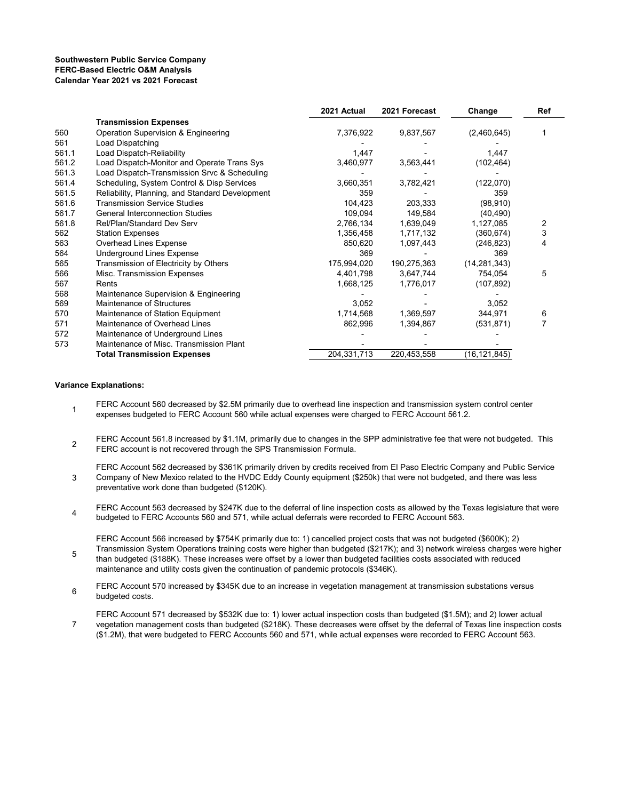#### **Southwestern Public Service Company FERC-Based Electric O&M Analysis Calendar Year 2021 vs 2021 Forecast**

|       |                                                 | 2021 Actual | 2021 Forecast | Change         | Ref |
|-------|-------------------------------------------------|-------------|---------------|----------------|-----|
|       | <b>Transmission Expenses</b>                    |             |               |                |     |
| 560   | Operation Supervision & Engineering             | 7,376,922   | 9,837,567     | (2,460,645)    |     |
| 561   | Load Dispatching                                |             |               |                |     |
| 561.1 | Load Dispatch-Reliability                       | 1,447       |               | 1,447          |     |
| 561.2 | Load Dispatch-Monitor and Operate Trans Sys     | 3,460,977   | 3,563,441     | (102, 464)     |     |
| 561.3 | Load Dispatch-Transmission Srvc & Scheduling    |             |               |                |     |
| 561.4 | Scheduling, System Control & Disp Services      | 3,660,351   | 3,782,421     | (122,070)      |     |
| 561.5 | Reliability, Planning, and Standard Development | 359         |               | 359            |     |
| 561.6 | <b>Transmission Service Studies</b>             | 104,423     | 203,333       | (98, 910)      |     |
| 561.7 | <b>General Interconnection Studies</b>          | 109,094     | 149,584       | (40, 490)      |     |
| 561.8 | Rel/Plan/Standard Dev Serv                      | 2,766,134   | 1,639,049     | 1,127,085      | 2   |
| 562   | <b>Station Expenses</b>                         | 1,356,458   | 1,717,132     | (360,674)      | 3   |
| 563   | Overhead Lines Expense                          | 850,620     | 1,097,443     | (246, 823)     | 4   |
| 564   | <b>Underground Lines Expense</b>                | 369         |               | 369            |     |
| 565   | Transmission of Electricity by Others           | 175,994,020 | 190,275,363   | (14, 281, 343) |     |
| 566   | Misc. Transmission Expenses                     | 4,401,798   | 3,647,744     | 754,054        | 5   |
| 567   | Rents                                           | 1,668,125   | 1,776,017     | (107, 892)     |     |
| 568   | Maintenance Supervision & Engineering           |             |               |                |     |
| 569   | Maintenance of Structures                       | 3,052       |               | 3,052          |     |
| 570   | Maintenance of Station Equipment                | 1,714,568   | 1,369,597     | 344,971        | 6   |
| 571   | Maintenance of Overhead Lines                   | 862,996     | 1,394,867     | (531, 871)     | 7   |
| 572   | Maintenance of Underground Lines                |             |               |                |     |
| 573   | Maintenance of Misc. Transmission Plant         |             |               |                |     |
|       | <b>Total Transmission Expenses</b>              | 204,331,713 | 220,453,558   | (16,121,845)   |     |

#### **Variance Explanations:**

5

- 1 FERC Account 560 decreased by \$2.5M primarily due to overhead line inspection and transmission system control center expenses budgeted to FERC Account 560 while actual expenses were charged to FERC Account 561.2.
- $\mathfrak{p}$ FERC Account 561.8 increased by \$1.1M, primarily due to changes in the SPP administrative fee that were not budgeted. This FERC account is not recovered through the SPS Transmission Formula.
- 3 FERC Account 562 decreased by \$361K primarily driven by credits received from El Paso Electric Company and Public Service Company of New Mexico related to the HVDC Eddy County equipment (\$250k) that were not budgeted, and there was less preventative work done than budgeted (\$120K).
- 4 FERC Account 563 decreased by \$247K due to the deferral of line inspection costs as allowed by the Texas legislature that were budgeted to FERC Accounts 560 and 571, while actual deferrals were recorded to FERC Account 563.

FERC Account 566 increased by \$754K primarily due to: 1) cancelled project costs that was not budgeted (\$600K); 2) Transmission System Operations training costs were higher than budgeted (\$217K); and 3) network wireless charges were higher than budgeted (\$188K). These increases were offset by a lower than budgeted facilities costs associated with reduced maintenance and utility costs given the continuation of pandemic protocols (\$346K).

- 6 FERC Account 570 increased by \$345K due to an increase in vegetation management at transmission substations versus budgeted costs.
- 7 FERC Account 571 decreased by \$532K due to: 1) lower actual inspection costs than budgeted (\$1.5M); and 2) lower actual vegetation management costs than budgeted (\$218K). These decreases were offset by the deferral of Texas line inspection costs (\$1.2M), that were budgeted to FERC Accounts 560 and 571, while actual expenses were recorded to FERC Account 563.